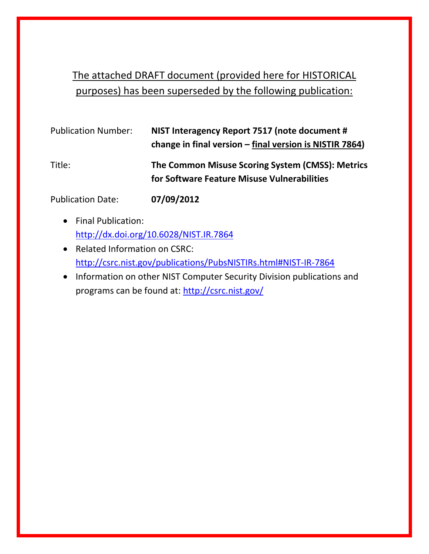# The attached DRAFT document (provided here for HISTORICAL purposes) has been superseded by the following publication:

| <b>Publication Number:</b> | NIST Interagency Report 7517 (note document #<br>change in final version $-\text{final}$ version is NISTIR 7864) |
|----------------------------|------------------------------------------------------------------------------------------------------------------|
| Title:                     | The Common Misuse Scoring System (CMSS): Metrics<br>for Software Feature Misuse Vulnerabilities                  |

Publication Date: **07/09/2012**

- Final Publication: <http://dx.doi.org/10.6028/NIST.IR.7864>
- Related Information on CSRC: <http://csrc.nist.gov/publications/PubsNISTIRs.html#NIST-IR-7864>
- Information on other NIST Computer Security Division publications and programs can be found at:<http://csrc.nist.gov/>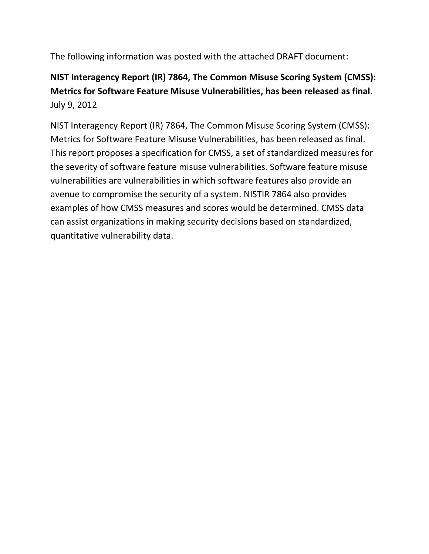The following information was posted with the attached DRAFT document:

# **NIST Interagency Report (IR) 7864, The Common Misuse Scoring System (CMSS): Metrics for Software Feature Misuse Vulnerabilities, has been released as final.** July 9, 2012

NIST Interagency Report (IR) 7864, The Common Misuse Scoring System (CMSS): Metrics for Software Feature Misuse Vulnerabilities, has been released as final. This report proposes a specification for CMSS, a set of standardized measures for the severity of software feature misuse vulnerabilities. Software feature misuse vulnerabilities are vulnerabilities in which software features also provide an avenue to compromise the security of a system. NISTIR 7864 also provides examples of how CMSS measures and scores would be determined. CMSS data can assist organizations in making security decisions based on standardized, quantitative vulnerability data.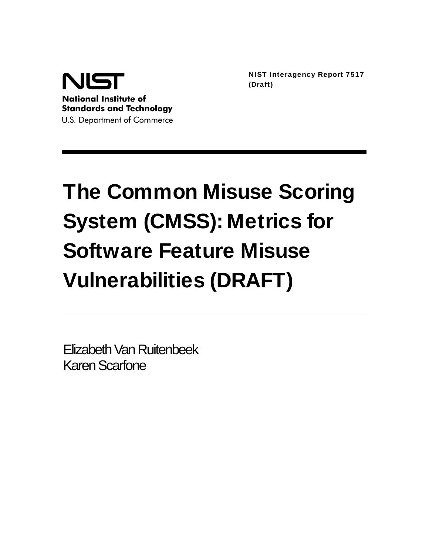

NIST Interagency Report 7517 (Draft)

# The Common Misuse Scoring System (CMSS): Metrics for Software Feature Misuse Vulnerabilities (DRAFT)

Elizabeth Van Ruitenbeek Karen Scarfone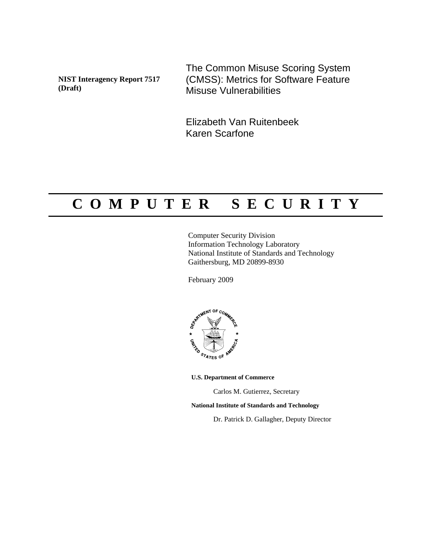**NIST Interagency Report 7517 (Draft)** 

The Common Misuse Scoring System (CMSS): Metrics for Software Feature Misuse Vulnerabilities

Elizabeth Van Ruitenbeek Karen Scarfone

# **C O M P U T E R S E C U R I T Y**

Computer Security Division Information Technology Laboratory National Institute of Standards and Technology Gaithersburg, MD 20899-8930

February 2009



**U.S. Department of Commerce** 

Carlos M. Gutierrez, Secretary

**National Institute of Standards and Technology**

Dr. Patrick D. Gallagher, Deputy Director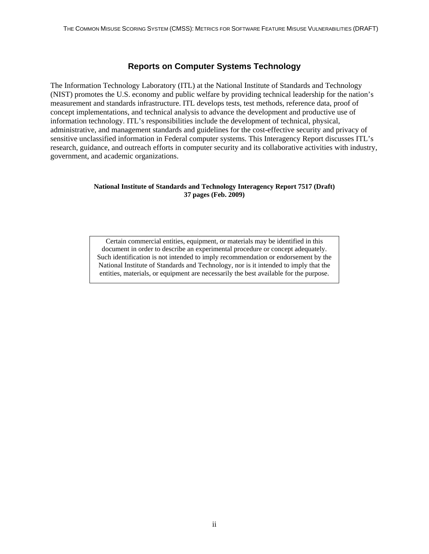#### **Reports on Computer Systems Technology**

The Information Technology Laboratory (ITL) at the National Institute of Standards and Technology (NIST) promotes the U.S. economy and public welfare by providing technical leadership for the nation's measurement and standards infrastructure. ITL develops tests, test methods, reference data, proof of concept implementations, and technical analysis to advance the development and productive use of information technology. ITL's responsibilities include the development of technical, physical, administrative, and management standards and guidelines for the cost-effective security and privacy of sensitive unclassified information in Federal computer systems. This Interagency Report discusses ITL's research, guidance, and outreach efforts in computer security and its collaborative activities with industry, government, and academic organizations.

#### **National Institute of Standards and Technology Interagency Report 7517 (Draft) 37 pages (Feb. 2009)**

Certain commercial entities, equipment, or materials may be identified in this document in order to describe an experimental procedure or concept adequately. Such identification is not intended to imply recommendation or endorsement by the National Institute of Standards and Technology, nor is it intended to imply that the entities, materials, or equipment are necessarily the best available for the purpose.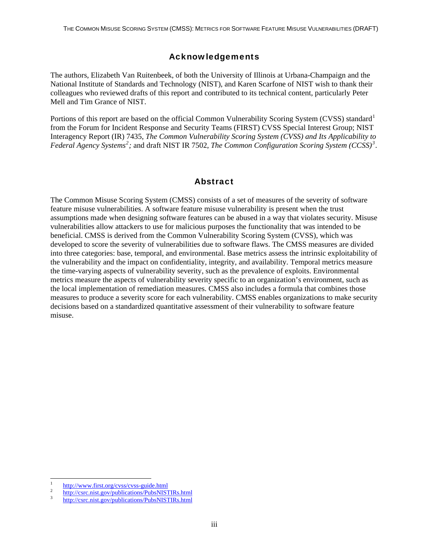# Acknowledgements

The authors, Elizabeth Van Ruitenbeek, of both the University of Illinois at Urbana-Champaign and the National Institute of Standards and Technology (NIST), and Karen Scarfone of NIST wish to thank their colleagues who reviewed drafts of this report and contributed to its technical content, particularly Peter Mell and Tim Grance of NIST.

Portions of this report are based on the official Common Vulnerability Scoring System (CVSS) standard<sup>[1](#page-5-0)</sup> from the Forum for Incident Response and Security Teams (FIRST) CVSS Special Interest Group; NIST Interagency Report (IR) 7435, *The Common Vulnerability Scoring System (CVSS) and Its Applicability to Federal Agency Systems[2](#page-5-1) ;* and draft NIST IR 7502, *The Common Configuration Scoring System (CCSS)[3](#page-5-2)* .

### Abstract

The Common Misuse Scoring System (CMSS) consists of a set of measures of the severity of software feature misuse vulnerabilities. A software feature misuse vulnerability is present when the trust assumptions made when designing software features can be abused in a way that violates security. Misuse vulnerabilities allow attackers to use for malicious purposes the functionality that was intended to be beneficial. CMSS is derived from the Common Vulnerability Scoring System (CVSS), which was developed to score the severity of vulnerabilities due to software flaws. The CMSS measures are divided into three categories: base, temporal, and environmental. Base metrics assess the intrinsic exploitability of the vulnerability and the impact on confidentiality, integrity, and availability. Temporal metrics measure the time-varying aspects of vulnerability severity, such as the prevalence of exploits. Environmental metrics measure the aspects of vulnerability severity specific to an organization's environment, such as the local implementation of remediation measures. CMSS also includes a formula that combines those measures to produce a severity score for each vulnerability. CMSS enables organizations to make security decisions based on a standardized quantitative assessment of their vulnerability to software feature misuse.

<span id="page-5-0"></span> $\frac{1}{1}$  $\frac{h_{\text{t}}}{2}$  <http://www.first.org/cvss/cvss-guide.html>

<span id="page-5-1"></span> $\frac{h_{\text{t}}}{2}$  <http://csrc.nist.gov/publications/PubsNISTIRs.html>  $\frac{3}{2}$  http://ccrc.nist.gov/publications/PubsNISTIRs.html

<span id="page-5-2"></span><http://csrc.nist.gov/publications/PubsNISTIRs.html>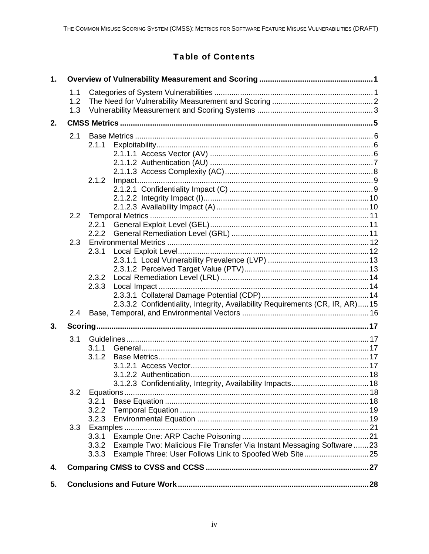# **Table of Contents**

| 1. |     |                |                                                                              |  |
|----|-----|----------------|------------------------------------------------------------------------------|--|
|    | 1.1 |                |                                                                              |  |
|    | 1.2 |                |                                                                              |  |
|    | 1.3 |                |                                                                              |  |
| 2. |     |                |                                                                              |  |
|    | 2.1 |                |                                                                              |  |
|    |     | 2.1.1          |                                                                              |  |
|    |     |                |                                                                              |  |
|    |     |                |                                                                              |  |
|    |     |                |                                                                              |  |
|    |     | 2.1.2          |                                                                              |  |
|    |     |                |                                                                              |  |
|    |     |                |                                                                              |  |
|    |     |                |                                                                              |  |
|    | 2.2 |                |                                                                              |  |
|    |     | 2.2.1          |                                                                              |  |
|    | 2.3 | 2.2.2          |                                                                              |  |
|    |     | 2.3.1          |                                                                              |  |
|    |     |                |                                                                              |  |
|    |     |                |                                                                              |  |
|    |     | 2.3.2          |                                                                              |  |
|    |     | 2.3.3          |                                                                              |  |
|    |     |                |                                                                              |  |
|    |     |                | 2.3.3.2 Confidentiality, Integrity, Availability Requirements (CR, IR, AR)15 |  |
|    | 2.4 |                |                                                                              |  |
| 3. |     |                |                                                                              |  |
|    | 3.1 |                |                                                                              |  |
|    |     | 3.1.1          |                                                                              |  |
|    |     | 3.1.2          |                                                                              |  |
|    |     |                |                                                                              |  |
|    |     |                |                                                                              |  |
|    |     |                |                                                                              |  |
|    | 3.2 |                |                                                                              |  |
|    |     | 3.2.1          |                                                                              |  |
|    |     | 3.2.2          |                                                                              |  |
|    |     | 3.2.3          |                                                                              |  |
|    | 3.3 |                |                                                                              |  |
|    |     | 3.3.1<br>3.3.2 | Example Two: Malicious File Transfer Via Instant Messaging Software 23       |  |
|    |     | 3.3.3          |                                                                              |  |
|    |     |                |                                                                              |  |
| 4. |     |                |                                                                              |  |
| 5. |     |                |                                                                              |  |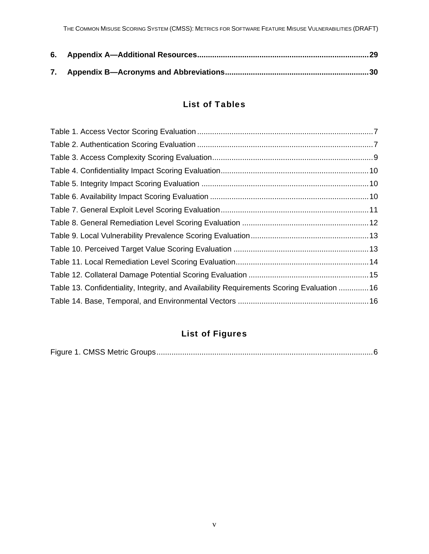# List of Tables

| Table 13. Confidentiality, Integrity, and Availability Requirements Scoring Evaluation  16 |  |
|--------------------------------------------------------------------------------------------|--|
|                                                                                            |  |

# List of Figures

|--|--|--|--|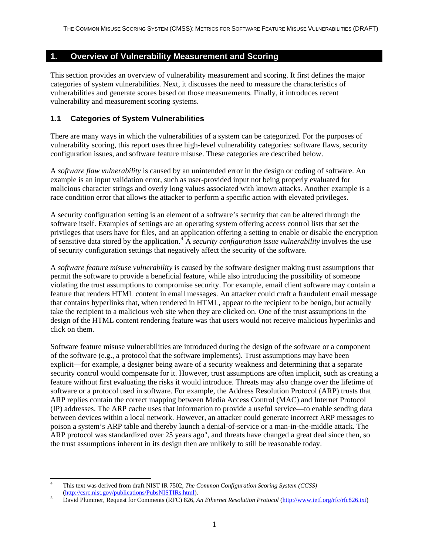#### <span id="page-8-0"></span>**1. Overview of Vulnerability Measurement and Scoring**

This section provides an overview of vulnerability measurement and scoring. It first defines the major categories of system vulnerabilities. Next, it discusses the need to measure the characteristics of vulnerabilities and generate scores based on those measurements. Finally, it introduces recent vulnerability and measurement scoring systems.

#### **1.1 Categories of System Vulnerabilities**

There are many ways in which the vulnerabilities of a system can be categorized. For the purposes of vulnerability scoring, this report uses three high-level vulnerability categories: software flaws, security configuration issues, and software feature misuse. These categories are described below.

A *software flaw vulnerability* is caused by an unintended error in the design or coding of software. An example is an input validation error, such as user-provided input not being properly evaluated for malicious character strings and overly long values associated with known attacks. Another example is a race condition error that allows the attacker to perform a specific action with elevated privileges.

A security configuration setting is an element of a software's security that can be altered through the software itself. Examples of settings are an operating system offering access control lists that set the privileges that users have for files, and an application offering a setting to enable or disable the encryption of sensitive data stored by the application.<sup>[4](#page-8-1)</sup> A *security configuration issue vulnerability* involves the use of security configuration settings that negatively affect the security of the software.

A *software feature misuse vulnerability* is caused by the software designer making trust assumptions that permit the software to provide a beneficial feature, while also introducing the possibility of someone violating the trust assumptions to compromise security. For example, email client software may contain a feature that renders HTML content in email messages. An attacker could craft a fraudulent email message that contains hyperlinks that, when rendered in HTML, appear to the recipient to be benign, but actually take the recipient to a malicious web site when they are clicked on. One of the trust assumptions in the design of the HTML content rendering feature was that users would not receive malicious hyperlinks and click on them.

Software feature misuse vulnerabilities are introduced during the design of the software or a component of the software (e.g., a protocol that the software implements). Trust assumptions may have been explicit—for example, a designer being aware of a security weakness and determining that a separate security control would compensate for it. However, trust assumptions are often implicit, such as creating a feature without first evaluating the risks it would introduce. Threats may also change over the lifetime of software or a protocol used in software. For example, the Address Resolution Protocol (ARP) trusts that ARP replies contain the correct mapping between Media Access Control (MAC) and Internet Protocol (IP) addresses. The ARP cache uses that information to provide a useful service—to enable sending data between devices within a local network. However, an attacker could generate incorrect ARP messages to poison a system's ARP table and thereby launch a denial-of-service or a man-in-the-middle attack. The ARP protocol was standardized over 2[5](#page-8-2) years ago<sup>5</sup>, and threats have changed a great deal since then, so the trust assumptions inherent in its design then are unlikely to still be reasonable today.

<span id="page-8-1"></span><sup>-</sup>4 This text was derived from draft NIST IR 7502, *The Common Configuration Scoring System (CCSS)*  ([http://csrc.nist.gov/publications/PubsNISTIRs.html\)](http://csrc.nist.gov/publications/PubsNISTIRs.html).

<span id="page-8-2"></span>David Plummer, Request for Comments (RFC) 826, *An Ethernet Resolution Protocol* [\(http://www.ietf.org/rfc/rfc826.txt](http://www.ietf.org/rfc/rfc826.txt))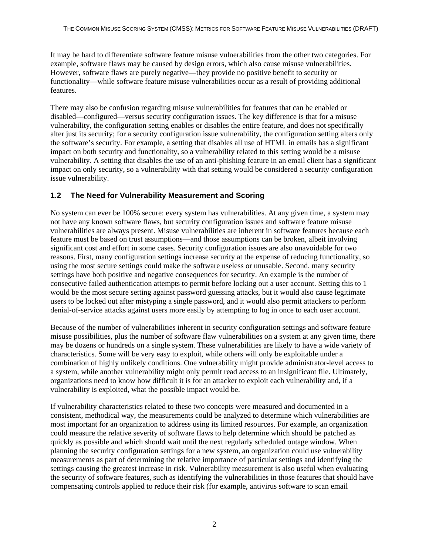<span id="page-9-0"></span>It may be hard to differentiate software feature misuse vulnerabilities from the other two categories. For example, software flaws may be caused by design errors, which also cause misuse vulnerabilities. However, software flaws are purely negative—they provide no positive benefit to security or functionality—while software feature misuse vulnerabilities occur as a result of providing additional features.

There may also be confusion regarding misuse vulnerabilities for features that can be enabled or disabled—configured—versus security configuration issues. The key difference is that for a misuse vulnerability, the configuration setting enables or disables the entire feature, and does not specifically alter just its security; for a security configuration issue vulnerability, the configuration setting alters only the software's security. For example, a setting that disables all use of HTML in emails has a significant impact on both security and functionality, so a vulnerability related to this setting would be a misuse vulnerability. A setting that disables the use of an anti-phishing feature in an email client has a significant impact on only security, so a vulnerability with that setting would be considered a security configuration issue vulnerability.

#### **1.2 The Need for Vulnerability Measurement and Scoring**

No system can ever be 100% secure: every system has vulnerabilities. At any given time, a system may not have any known software flaws, but security configuration issues and software feature misuse vulnerabilities are always present. Misuse vulnerabilities are inherent in software features because each feature must be based on trust assumptions—and those assumptions can be broken, albeit involving significant cost and effort in some cases. Security configuration issues are also unavoidable for two reasons. First, many configuration settings increase security at the expense of reducing functionality, so using the most secure settings could make the software useless or unusable. Second, many security settings have both positive and negative consequences for security. An example is the number of consecutive failed authentication attempts to permit before locking out a user account. Setting this to 1 would be the most secure setting against password guessing attacks, but it would also cause legitimate users to be locked out after mistyping a single password, and it would also permit attackers to perform denial-of-service attacks against users more easily by attempting to log in once to each user account.

Because of the number of vulnerabilities inherent in security configuration settings and software feature misuse possibilities, plus the number of software flaw vulnerabilities on a system at any given time, there may be dozens or hundreds on a single system. These vulnerabilities are likely to have a wide variety of characteristics. Some will be very easy to exploit, while others will only be exploitable under a combination of highly unlikely conditions. One vulnerability might provide administrator-level access to a system, while another vulnerability might only permit read access to an insignificant file. Ultimately, organizations need to know how difficult it is for an attacker to exploit each vulnerability and, if a vulnerability is exploited, what the possible impact would be.

If vulnerability characteristics related to these two concepts were measured and documented in a consistent, methodical way, the measurements could be analyzed to determine which vulnerabilities are most important for an organization to address using its limited resources. For example, an organization could measure the relative severity of software flaws to help determine which should be patched as quickly as possible and which should wait until the next regularly scheduled outage window. When planning the security configuration settings for a new system, an organization could use vulnerability measurements as part of determining the relative importance of particular settings and identifying the settings causing the greatest increase in risk. Vulnerability measurement is also useful when evaluating the security of software features, such as identifying the vulnerabilities in those features that should have compensating controls applied to reduce their risk (for example, antivirus software to scan email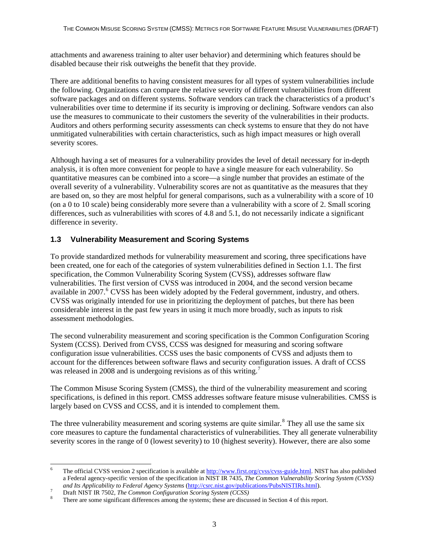<span id="page-10-0"></span>attachments and awareness training to alter user behavior) and determining which features should be disabled because their risk outweighs the benefit that they provide.

There are additional benefits to having consistent measures for all types of system vulnerabilities include the following. Organizations can compare the relative severity of different vulnerabilities from different software packages and on different systems. Software vendors can track the characteristics of a product's vulnerabilities over time to determine if its security is improving or declining. Software vendors can also use the measures to communicate to their customers the severity of the vulnerabilities in their products. Auditors and others performing security assessments can check systems to ensure that they do not have unmitigated vulnerabilities with certain characteristics, such as high impact measures or high overall severity scores.

Although having a set of measures for a vulnerability provides the level of detail necessary for in-depth analysis, it is often more convenient for people to have a single measure for each vulnerability. So quantitative measures can be combined into a score—a single number that provides an estimate of the overall severity of a vulnerability. Vulnerability scores are not as quantitative as the measures that they are based on, so they are most helpful for general comparisons, such as a vulnerability with a score of 10 (on a 0 to 10 scale) being considerably more severe than a vulnerability with a score of 2. Small scoring differences, such as vulnerabilities with scores of 4.8 and 5.1, do not necessarily indicate a significant difference in severity.

### **1.3 Vulnerability Measurement and Scoring Systems**

To provide standardized methods for vulnerability measurement and scoring, three specifications have been created, one for each of the categories of system vulnerabilities defined in Section 1.1. The first specification, the Common Vulnerability Scoring System (CVSS), addresses software flaw vulnerabilities. The first version of CVSS was introduced in 2004, and the second version became available in 2007.<sup>[6](#page-10-1)</sup> CVSS has been widely adopted by the Federal government, industry, and others. CVSS was originally intended for use in prioritizing the deployment of patches, but there has been considerable interest in the past few years in using it much more broadly, such as inputs to risk assessment methodologies.

The second vulnerability measurement and scoring specification is the Common Configuration Scoring System (CCSS). Derived from CVSS, CCSS was designed for measuring and scoring software configuration issue vulnerabilities. CCSS uses the basic components of CVSS and adjusts them to account for the differences between software flaws and security configuration issues. A draft of CCSS was released in 2008 and is undergoing revisions as of this writing.<sup>[7](#page-10-2)</sup>

The Common Misuse Scoring System (CMSS), the third of the vulnerability measurement and scoring specifications, is defined in this report. CMSS addresses software feature misuse vulnerabilities. CMSS is largely based on CVSS and CCSS, and it is intended to complement them.

The three vulnerability measurement and scoring systems are quite similar.<sup>[8](#page-10-3)</sup> They all use the same six core measures to capture the fundamental characteristics of vulnerabilities. They all generate vulnerability severity scores in the range of 0 (lowest severity) to 10 (highest severity). However, there are also some

<span id="page-10-1"></span><sup>-</sup>6 The official CVSS version 2 specification is available at <http://www.first.org/cvss/cvss-guide.html>. NIST has also published a Federal agency-specific version of the specification in NIST IR 7435, *The Common Vulnerability Scoring System (CVSS) and Its Applicability to Federal Agency Systems* [\(http://csrc.nist.gov/publications/PubsNISTIRs.html\)](http://csrc.nist.gov/publications/PubsNISTIRs.html).

<span id="page-10-2"></span>Draft NIST IR 7502, *The Common Configuration Scoring System (CCSS)* <sup>8</sup>

<span id="page-10-3"></span>There are some significant differences among the systems; these are discussed in Section 4 of this report.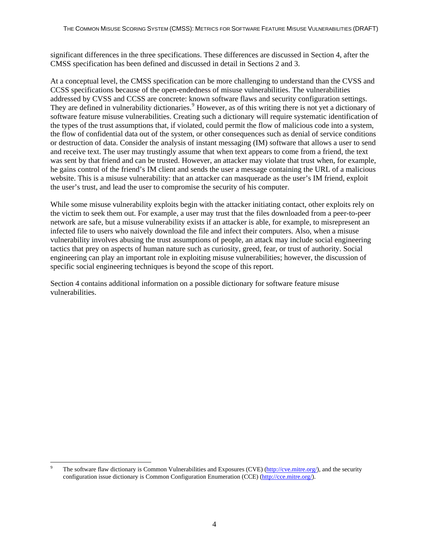significant differences in the three specifications. These differences are discussed in Section 4, after the CMSS specification has been defined and discussed in detail in Sections 2 and 3.

At a conceptual level, the CMSS specification can be more challenging to understand than the CVSS and CCSS specifications because of the open-endedness of misuse vulnerabilities. The vulnerabilities addressed by CVSS and CCSS are concrete: known software flaws and security configuration settings. They are defined in vulnerability dictionaries.<sup>[9](#page-11-0)</sup> However, as of this writing there is not yet a dictionary of software feature misuse vulnerabilities. Creating such a dictionary will require systematic identification of the types of the trust assumptions that, if violated, could permit the flow of malicious code into a system, the flow of confidential data out of the system, or other consequences such as denial of service conditions or destruction of data. Consider the analysis of instant messaging (IM) software that allows a user to send and receive text. The user may trustingly assume that when text appears to come from a friend, the text was sent by that friend and can be trusted. However, an attacker may violate that trust when, for example, he gains control of the friend's IM client and sends the user a message containing the URL of a malicious website. This is a misuse vulnerability: that an attacker can masquerade as the user's IM friend, exploit the user's trust, and lead the user to compromise the security of his computer.

While some misuse vulnerability exploits begin with the attacker initiating contact, other exploits rely on the victim to seek them out. For example, a user may trust that the files downloaded from a peer-to-peer network are safe, but a misuse vulnerability exists if an attacker is able, for example, to misrepresent an infected file to users who naively download the file and infect their computers. Also, when a misuse vulnerability involves abusing the trust assumptions of people, an attack may include social engineering tactics that prey on aspects of human nature such as curiosity, greed, fear, or trust of authority. Social engineering can play an important role in exploiting misuse vulnerabilities; however, the discussion of specific social engineering techniques is beyond the scope of this report.

Section 4 contains additional information on a possible dictionary for software feature misuse vulnerabilities.

<span id="page-11-0"></span><sup>1</sup> 9 The software flaw dictionary is Common Vulnerabilities and Exposures (CVE) [\(http://cve.mitre.org/](http://cve.mitre.org/)), and the security configuration issue dictionary is Common Configuration Enumeration (CCE) [\(http://cce.mitre.org/\)](http://cce.mitre.org/).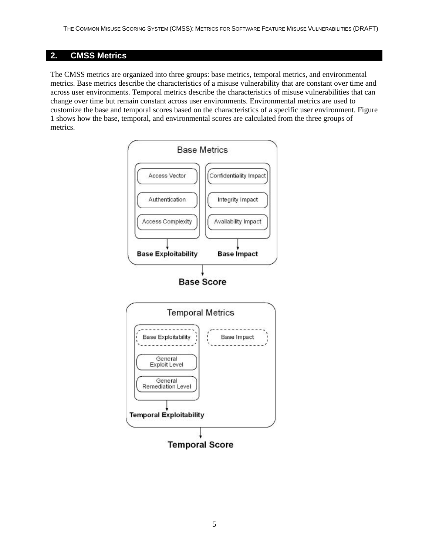# <span id="page-12-0"></span>**2. CMSS Metrics**

The CMSS metrics are organized into three groups: base metrics, temporal metrics, and environmental metrics. Base metrics describe the characteristics of a misuse vulnerability that are constant over time and across user environments. Temporal metrics describe the characteristics of misuse vulnerabilities that can change over time but remain constant across user environments. Environmental metrics are used to customize the base and temporal scores based on the characteristics of a specific user environment. Figure 1 shows how the base, temporal, and environmental scores are calculated from the three groups of metrics.

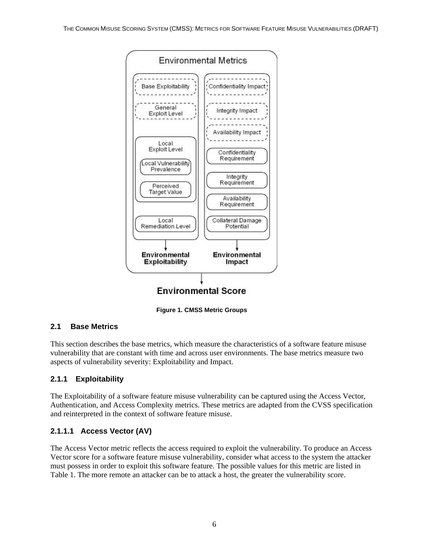<span id="page-13-0"></span>

**Figure 1. CMSS Metric Groups** 

# **2.1 Base Metrics**

This section describes the base metrics, which measure the characteristics of a software feature misuse vulnerability that are constant with time and across user environments. The base metrics measure two aspects of vulnerability severity: Exploitability and Impact.

### **2.1.1 Exploitability**

The Exploitability of a software feature misuse vulnerability can be captured using the Access Vector, Authentication, and Access Complexity metrics. These metrics are adapted from the CVSS specification and reinterpreted in the context of software feature misuse.

### **2.1.1.1 Access Vector (AV)**

The Access Vector metric reflects the access required to exploit the vulnerability. To produce an Access Vector score for a software feature misuse vulnerability, consider what access to the system the attacker must possess in order to exploit this software feature. The possible values for this metric are listed in Table 1. The more remote an attacker can be to attack a host, the greater the vulnerability score.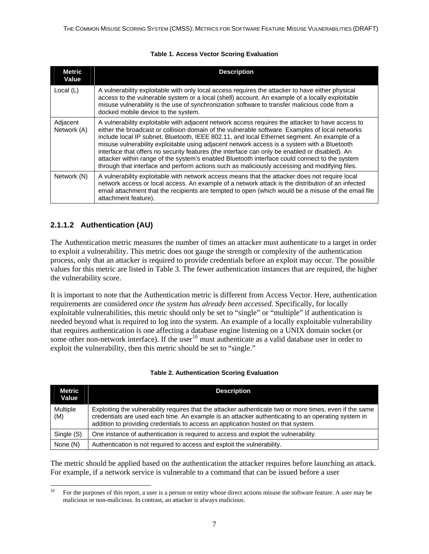#### **Table 1. Access Vector Scoring Evaluation**

<span id="page-14-0"></span>

| <b>Metric</b><br>Value  | <b>Description</b>                                                                                                                                                                                                                                                                                                                                                                                                                                                                                                                                                                                                                                                                                     |
|-------------------------|--------------------------------------------------------------------------------------------------------------------------------------------------------------------------------------------------------------------------------------------------------------------------------------------------------------------------------------------------------------------------------------------------------------------------------------------------------------------------------------------------------------------------------------------------------------------------------------------------------------------------------------------------------------------------------------------------------|
| Local $(L)$             | A vulnerability exploitable with only local access requires the attacker to have either physical<br>access to the vulnerable system or a local (shell) account. An example of a locally exploitable<br>misuse vulnerability is the use of synchronization software to transfer malicious code from a<br>docked mobile device to the system.                                                                                                                                                                                                                                                                                                                                                            |
| Adjacent<br>Network (A) | A vulnerability exploitable with adjacent network access requires the attacker to have access to<br>either the broadcast or collision domain of the vulnerable software. Examples of local networks<br>include local IP subnet, Bluetooth, IEEE 802.11, and local Ethernet segment. An example of a<br>misuse vulnerability exploitable using adjacent network access is a system with a Bluetooth<br>interface that offers no security features (the interface can only be enabled or disabled). An<br>attacker within range of the system's enabled Bluetooth interface could connect to the system<br>through that interface and perform actions such as maliciously accessing and modifying files. |
| Network (N)             | A vulnerability exploitable with network access means that the attacker does not require local<br>network access or local access. An example of a network attack is the distribution of an infected<br>email attachment that the recipients are tempted to open (which would be a misuse of the email file<br>attachment feature).                                                                                                                                                                                                                                                                                                                                                                     |

# **2.1.1.2 Authentication (AU)**

The Authentication metric measures the number of times an attacker must authenticate to a target in order to exploit a vulnerability. This metric does not gauge the strength or complexity of the authentication process, only that an attacker is required to provide credentials before an exploit may occur. The possible values for this metric are listed in Table 3. The fewer authentication instances that are required, the higher the vulnerability score.

It is important to note that the Authentication metric is different from Access Vector. Here, authentication requirements are considered *once the system has already been accessed*. Specifically, for locally exploitable vulnerabilities, this metric should only be set to "single" or "multiple" if authentication is needed beyond what is required to log into the system. An example of a locally exploitable vulnerability that requires authentication is one affecting a database engine listening on a UNIX domain socket (or some other non-network interface). If the user  $10$  must authenticate as a valid database user in order to exploit the vulnerability, then this metric should be set to "single."

| Metric          | <b>Description</b>                                                                                                                                                                                                                                                                                  |
|-----------------|-----------------------------------------------------------------------------------------------------------------------------------------------------------------------------------------------------------------------------------------------------------------------------------------------------|
| Value           |                                                                                                                                                                                                                                                                                                     |
| Multiple<br>(M) | Exploiting the vulnerability requires that the attacker authenticate two or more times, even if the same<br>credentials are used each time. An example is an attacker authenticating to an operating system in<br>addition to providing credentials to access an application hosted on that system. |
| Single (S)      | One instance of authentication is required to access and exploit the vulnerability.                                                                                                                                                                                                                 |
| None (N)        | Authentication is not required to access and exploit the vulnerability.                                                                                                                                                                                                                             |

#### **Table 2. Authentication Scoring Evaluation**

The metric should be applied based on the authentication the attacker requires before launching an attack. For example, if a network service is vulnerable to a command that can be issued before a user

<span id="page-14-1"></span><sup>10</sup> 10 For the purposes of this report, a user is a person or entity whose direct actions misuse the software feature. A user may be malicious or non-malicious. In contrast, an attacker is always malicious.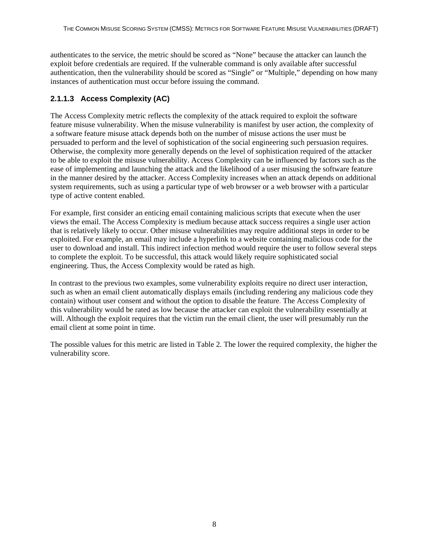<span id="page-15-0"></span>authenticates to the service, the metric should be scored as "None" because the attacker can launch the exploit before credentials are required. If the vulnerable command is only available after successful authentication, then the vulnerability should be scored as "Single" or "Multiple," depending on how many instances of authentication must occur before issuing the command.

## **2.1.1.3 Access Complexity (AC)**

The Access Complexity metric reflects the complexity of the attack required to exploit the software feature misuse vulnerability. When the misuse vulnerability is manifest by user action, the complexity of a software feature misuse attack depends both on the number of misuse actions the user must be persuaded to perform and the level of sophistication of the social engineering such persuasion requires. Otherwise, the complexity more generally depends on the level of sophistication required of the attacker to be able to exploit the misuse vulnerability. Access Complexity can be influenced by factors such as the ease of implementing and launching the attack and the likelihood of a user misusing the software feature in the manner desired by the attacker. Access Complexity increases when an attack depends on additional system requirements, such as using a particular type of web browser or a web browser with a particular type of active content enabled.

For example, first consider an enticing email containing malicious scripts that execute when the user views the email. The Access Complexity is medium because attack success requires a single user action that is relatively likely to occur. Other misuse vulnerabilities may require additional steps in order to be exploited. For example, an email may include a hyperlink to a website containing malicious code for the user to download and install. This indirect infection method would require the user to follow several steps to complete the exploit. To be successful, this attack would likely require sophisticated social engineering. Thus, the Access Complexity would be rated as high.

In contrast to the previous two examples, some vulnerability exploits require no direct user interaction, such as when an email client automatically displays emails (including rendering any malicious code they contain) without user consent and without the option to disable the feature. The Access Complexity of this vulnerability would be rated as low because the attacker can exploit the vulnerability essentially at will. Although the exploit requires that the victim run the email client, the user will presumably run the email client at some point in time.

The possible values for this metric are listed in Table 2. The lower the required complexity, the higher the vulnerability score.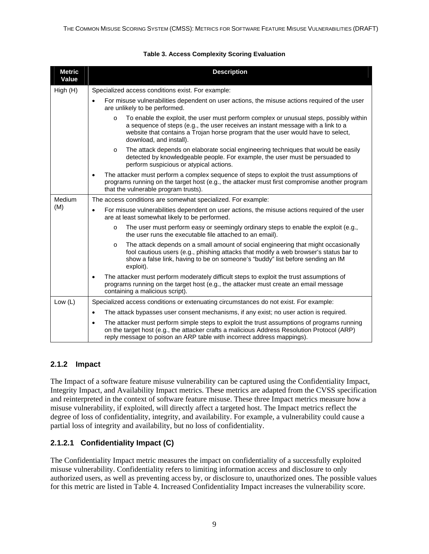<span id="page-16-0"></span>

| <b>Metric</b><br>Value | <b>Description</b>                                                                                                                                                                                                                                                                                   |  |
|------------------------|------------------------------------------------------------------------------------------------------------------------------------------------------------------------------------------------------------------------------------------------------------------------------------------------------|--|
| High(H)                | Specialized access conditions exist. For example:                                                                                                                                                                                                                                                    |  |
|                        | For misuse vulnerabilities dependent on user actions, the misuse actions required of the user<br>$\bullet$<br>are unlikely to be performed.                                                                                                                                                          |  |
|                        | To enable the exploit, the user must perform complex or unusual steps, possibly within<br>$\circ$<br>a sequence of steps (e.g., the user receives an instant message with a link to a<br>website that contains a Trojan horse program that the user would have to select,<br>download, and install). |  |
|                        | The attack depends on elaborate social engineering techniques that would be easily<br>$\circ$<br>detected by knowledgeable people. For example, the user must be persuaded to<br>perform suspicious or atypical actions.                                                                             |  |
|                        | The attacker must perform a complex sequence of steps to exploit the trust assumptions of<br>$\bullet$<br>programs running on the target host (e.g., the attacker must first compromise another program<br>that the vulnerable program trusts).                                                      |  |
| Medium                 | The access conditions are somewhat specialized. For example:                                                                                                                                                                                                                                         |  |
| (M)                    | For misuse vulnerabilities dependent on user actions, the misuse actions required of the user<br>$\bullet$<br>are at least somewhat likely to be performed.                                                                                                                                          |  |
|                        | The user must perform easy or seemingly ordinary steps to enable the exploit (e.g.,<br>$\circ$<br>the user runs the executable file attached to an email).                                                                                                                                           |  |
|                        | The attack depends on a small amount of social engineering that might occasionally<br>$\circ$<br>fool cautious users (e.g., phishing attacks that modify a web browser's status bar to<br>show a false link, having to be on someone's "buddy" list before sending an IM<br>exploit).                |  |
|                        | The attacker must perform moderately difficult steps to exploit the trust assumptions of<br>$\bullet$<br>programs running on the target host (e.g., the attacker must create an email message<br>containing a malicious script).                                                                     |  |
| Low $(L)$              | Specialized access conditions or extenuating circumstances do not exist. For example:                                                                                                                                                                                                                |  |
|                        | The attack bypasses user consent mechanisms, if any exist; no user action is required.<br>$\bullet$                                                                                                                                                                                                  |  |
|                        | The attacker must perform simple steps to exploit the trust assumptions of programs running<br>$\bullet$<br>on the target host (e.g., the attacker crafts a malicious Address Resolution Protocol (ARP)<br>reply message to poison an ARP table with incorrect address mappings).                    |  |

#### **Table 3. Access Complexity Scoring Evaluation**

#### **2.1.2 Impact**

The Impact of a software feature misuse vulnerability can be captured using the Confidentiality Impact, Integrity Impact, and Availability Impact metrics. These metrics are adapted from the CVSS specification and reinterpreted in the context of software feature misuse. These three Impact metrics measure how a misuse vulnerability, if exploited, will directly affect a targeted host. The Impact metrics reflect the degree of loss of confidentiality, integrity, and availability. For example, a vulnerability could cause a partial loss of integrity and availability, but no loss of confidentiality.

### **2.1.2.1 Confidentiality Impact (C)**

The Confidentiality Impact metric measures the impact on confidentiality of a successfully exploited misuse vulnerability. Confidentiality refers to limiting information access and disclosure to only authorized users, as well as preventing access by, or disclosure to, unauthorized ones. The possible values for this metric are listed in Table 4. Increased Confidentiality Impact increases the vulnerability score.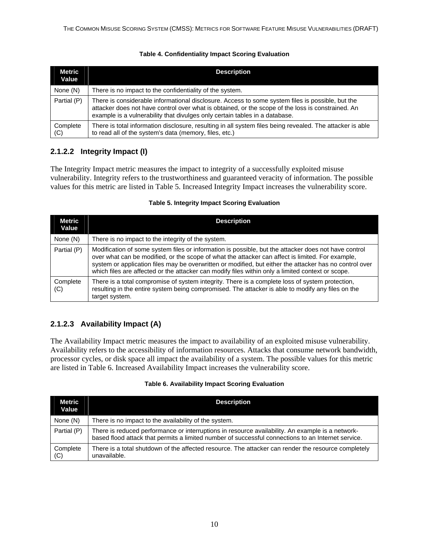#### **Table 4. Confidentiality Impact Scoring Evaluation**

<span id="page-17-0"></span>

| Metric<br>Value | <b>Description</b>                                                                                                                                                                                                                                                                   |
|-----------------|--------------------------------------------------------------------------------------------------------------------------------------------------------------------------------------------------------------------------------------------------------------------------------------|
| None (N)        | There is no impact to the confidentiality of the system.                                                                                                                                                                                                                             |
| Partial (P)     | There is considerable informational disclosure. Access to some system files is possible, but the<br>attacker does not have control over what is obtained, or the scope of the loss is constrained. An<br>example is a vulnerability that divulges only certain tables in a database. |
| Complete<br>(C) | There is total information disclosure, resulting in all system files being revealed. The attacker is able<br>to read all of the system's data (memory, files, etc.)                                                                                                                  |

# **2.1.2.2 Integrity Impact (I)**

The Integrity Impact metric measures the impact to integrity of a successfully exploited misuse vulnerability. Integrity refers to the trustworthiness and guaranteed veracity of information. The possible values for this metric are listed in Table 5. Increased Integrity Impact increases the vulnerability score.

#### **Table 5. Integrity Impact Scoring Evaluation**

| Metric<br>Value | <b>Description</b>                                                                                                                                                                                                                                                                                                                                                                                                       |
|-----------------|--------------------------------------------------------------------------------------------------------------------------------------------------------------------------------------------------------------------------------------------------------------------------------------------------------------------------------------------------------------------------------------------------------------------------|
| None (N)        | There is no impact to the integrity of the system.                                                                                                                                                                                                                                                                                                                                                                       |
| Partial (P)     | Modification of some system files or information is possible, but the attacker does not have control<br>over what can be modified, or the scope of what the attacker can affect is limited. For example,<br>system or application files may be overwritten or modified, but either the attacker has no control over<br>which files are affected or the attacker can modify files within only a limited context or scope. |
| Complete<br>(C) | There is a total compromise of system integrity. There is a complete loss of system protection,<br>resulting in the entire system being compromised. The attacker is able to modify any files on the<br>target system.                                                                                                                                                                                                   |

### **2.1.2.3 Availability Impact (A)**

The Availability Impact metric measures the impact to availability of an exploited misuse vulnerability. Availability refers to the accessibility of information resources. Attacks that consume network bandwidth, processor cycles, or disk space all impact the availability of a system. The possible values for this metric are listed in Table 6. Increased Availability Impact increases the vulnerability score.

#### **Table 6. Availability Impact Scoring Evaluation**

| <b>Metric</b><br>Value | <b>Description</b>                                                                                                                                                                                     |
|------------------------|--------------------------------------------------------------------------------------------------------------------------------------------------------------------------------------------------------|
| None (N)               | There is no impact to the availability of the system.                                                                                                                                                  |
| Partial (P)            | There is reduced performance or interruptions in resource availability. An example is a network-<br>based flood attack that permits a limited number of successful connections to an Internet service. |
| Complete<br>(C)        | There is a total shutdown of the affected resource. The attacker can render the resource completely<br>unavailable.                                                                                    |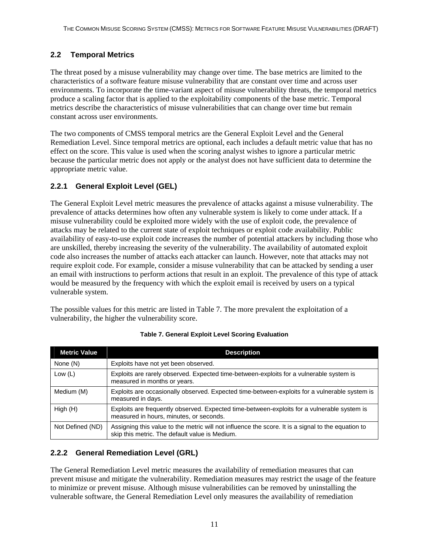## <span id="page-18-0"></span>**2.2 Temporal Metrics**

The threat posed by a misuse vulnerability may change over time. The base metrics are limited to the characteristics of a software feature misuse vulnerability that are constant over time and across user environments. To incorporate the time-variant aspect of misuse vulnerability threats, the temporal metrics produce a scaling factor that is applied to the exploitability components of the base metric. Temporal metrics describe the characteristics of misuse vulnerabilities that can change over time but remain constant across user environments.

The two components of CMSS temporal metrics are the General Exploit Level and the General Remediation Level. Since temporal metrics are optional, each includes a default metric value that has no effect on the score. This value is used when the scoring analyst wishes to ignore a particular metric because the particular metric does not apply or the analyst does not have sufficient data to determine the appropriate metric value.

### **2.2.1 General Exploit Level (GEL)**

The General Exploit Level metric measures the prevalence of attacks against a misuse vulnerability. The prevalence of attacks determines how often any vulnerable system is likely to come under attack. If a misuse vulnerability could be exploited more widely with the use of exploit code, the prevalence of attacks may be related to the current state of exploit techniques or exploit code availability. Public availability of easy-to-use exploit code increases the number of potential attackers by including those who are unskilled, thereby increasing the severity of the vulnerability. The availability of automated exploit code also increases the number of attacks each attacker can launch. However, note that attacks may not require exploit code. For example, consider a misuse vulnerability that can be attacked by sending a user an email with instructions to perform actions that result in an exploit. The prevalence of this type of attack would be measured by the frequency with which the exploit email is received by users on a typical vulnerable system.

The possible values for this metric are listed in Table 7. The more prevalent the exploitation of a vulnerability, the higher the vulnerability score.

| <b>Metric Value</b> | <b>Description</b>                                                                                                                                   |
|---------------------|------------------------------------------------------------------------------------------------------------------------------------------------------|
| None (N)            | Exploits have not yet been observed.                                                                                                                 |
| Low $(L)$           | Exploits are rarely observed. Expected time-between-exploits for a vulnerable system is<br>measured in months or years.                              |
| Medium (M)          | Exploits are occasionally observed. Expected time-between-exploits for a vulnerable system is<br>measured in days.                                   |
| High(H)             | Exploits are frequently observed. Expected time-between-exploits for a vulnerable system is<br>measured in hours, minutes, or seconds.               |
| Not Defined (ND)    | Assigning this value to the metric will not influence the score. It is a signal to the equation to<br>skip this metric. The default value is Medium. |

#### **Table 7. General Exploit Level Scoring Evaluation**

### **2.2.2 General Remediation Level (GRL)**

The General Remediation Level metric measures the availability of remediation measures that can prevent misuse and mitigate the vulnerability. Remediation measures may restrict the usage of the feature to minimize or prevent misuse. Although misuse vulnerabilities can be removed by uninstalling the vulnerable software, the General Remediation Level only measures the availability of remediation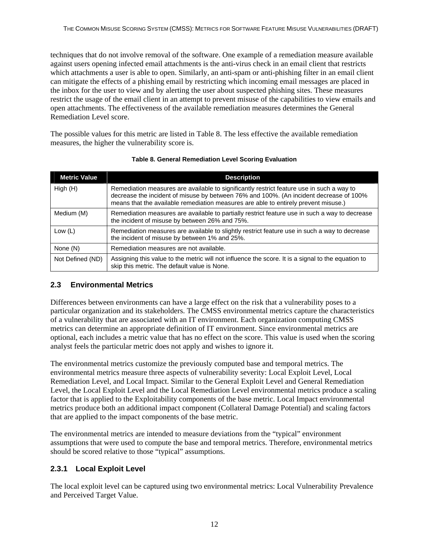<span id="page-19-0"></span>techniques that do not involve removal of the software. One example of a remediation measure available against users opening infected email attachments is the anti-virus check in an email client that restricts which attachments a user is able to open. Similarly, an anti-spam or anti-phishing filter in an email client can mitigate the effects of a phishing email by restricting which incoming email messages are placed in the inbox for the user to view and by alerting the user about suspected phishing sites. These measures restrict the usage of the email client in an attempt to prevent misuse of the capabilities to view emails and open attachments. The effectiveness of the available remediation measures determines the General Remediation Level score.

The possible values for this metric are listed in Table 8. The less effective the available remediation measures, the higher the vulnerability score is.

| <b>Metric Value</b> | <b>Description</b>                                                                                                                                                                                                                                                         |
|---------------------|----------------------------------------------------------------------------------------------------------------------------------------------------------------------------------------------------------------------------------------------------------------------------|
| High(H)             | Remediation measures are available to significantly restrict feature use in such a way to<br>decrease the incident of misuse by between 76% and 100%. (An incident decrease of 100%<br>means that the available remediation measures are able to entirely prevent misuse.) |
| Medium (M)          | Remediation measures are available to partially restrict feature use in such a way to decrease<br>the incident of misuse by between 26% and 75%.                                                                                                                           |
| Low $(L)$           | Remediation measures are available to slightly restrict feature use in such a way to decrease<br>the incident of misuse by between 1% and 25%.                                                                                                                             |
| None (N)            | Remediation measures are not available.                                                                                                                                                                                                                                    |
| Not Defined (ND)    | Assigning this value to the metric will not influence the score. It is a signal to the equation to<br>skip this metric. The default value is None.                                                                                                                         |

#### **Table 8. General Remediation Level Scoring Evaluation**

### **2.3 Environmental Metrics**

Differences between environments can have a large effect on the risk that a vulnerability poses to a particular organization and its stakeholders. The CMSS environmental metrics capture the characteristics of a vulnerability that are associated with an IT environment. Each organization computing CMSS metrics can determine an appropriate definition of IT environment. Since environmental metrics are optional, each includes a metric value that has no effect on the score. This value is used when the scoring analyst feels the particular metric does not apply and wishes to ignore it.

The environmental metrics customize the previously computed base and temporal metrics. The environmental metrics measure three aspects of vulnerability severity: Local Exploit Level, Local Remediation Level, and Local Impact. Similar to the General Exploit Level and General Remediation Level, the Local Exploit Level and the Local Remediation Level environmental metrics produce a scaling factor that is applied to the Exploitability components of the base metric. Local Impact environmental metrics produce both an additional impact component (Collateral Damage Potential) and scaling factors that are applied to the impact components of the base metric.

The environmental metrics are intended to measure deviations from the "typical" environment assumptions that were used to compute the base and temporal metrics. Therefore, environmental metrics should be scored relative to those "typical" assumptions.

### **2.3.1 Local Exploit Level**

The local exploit level can be captured using two environmental metrics: Local Vulnerability Prevalence and Perceived Target Value.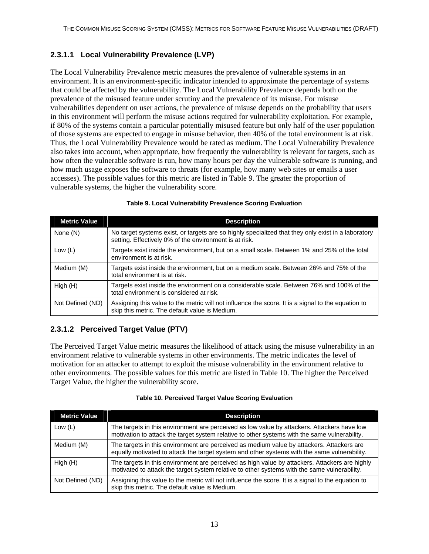# <span id="page-20-0"></span>**2.3.1.1 Local Vulnerability Prevalence (LVP)**

The Local Vulnerability Prevalence metric measures the prevalence of vulnerable systems in an environment. It is an environment-specific indicator intended to approximate the percentage of systems that could be affected by the vulnerability. The Local Vulnerability Prevalence depends both on the prevalence of the misused feature under scrutiny and the prevalence of its misuse. For misuse vulnerabilities dependent on user actions, the prevalence of misuse depends on the probability that users in this environment will perform the misuse actions required for vulnerability exploitation. For example, if 80% of the systems contain a particular potentially misused feature but only half of the user population of those systems are expected to engage in misuse behavior, then 40% of the total environment is at risk. Thus, the Local Vulnerability Prevalence would be rated as medium. The Local Vulnerability Prevalence also takes into account, when appropriate, how frequently the vulnerability is relevant for targets, such as how often the vulnerable software is run, how many hours per day the vulnerable software is running, and how much usage exposes the software to threats (for example, how many web sites or emails a user accesses). The possible values for this metric are listed in Table 9. The greater the proportion of vulnerable systems, the higher the vulnerability score.

| <b>Metric Value</b> | <b>Description</b>                                                                                                                                           |
|---------------------|--------------------------------------------------------------------------------------------------------------------------------------------------------------|
| None (N)            | No target systems exist, or targets are so highly specialized that they only exist in a laboratory<br>setting. Effectively 0% of the environment is at risk. |
| Low $(L)$           | Targets exist inside the environment, but on a small scale. Between 1% and 25% of the total<br>environment is at risk.                                       |
| Medium (M)          | Targets exist inside the environment, but on a medium scale. Between 26% and 75% of the<br>total environment is at risk.                                     |
| High (H)            | Targets exist inside the environment on a considerable scale. Between 76% and 100% of the<br>total environment is considered at risk.                        |
| Not Defined (ND)    | Assigning this value to the metric will not influence the score. It is a signal to the equation to<br>skip this metric. The default value is Medium.         |

#### **Table 9. Local Vulnerability Prevalence Scoring Evaluation**

### **2.3.1.2 Perceived Target Value (PTV)**

The Perceived Target Value metric measures the likelihood of attack using the misuse vulnerability in an environment relative to vulnerable systems in other environments. The metric indicates the level of motivation for an attacker to attempt to exploit the misuse vulnerability in the environment relative to other environments. The possible values for this metric are listed in Table 10. The higher the Perceived Target Value, the higher the vulnerability score.

| <b>Metric Value</b> | <b>Description</b>                                                                                                                                                                             |
|---------------------|------------------------------------------------------------------------------------------------------------------------------------------------------------------------------------------------|
| Low $(L)$           | The targets in this environment are perceived as low value by attackers. Attackers have low<br>motivation to attack the target system relative to other systems with the same vulnerability.   |
| Medium (M)          | The targets in this environment are perceived as medium value by attackers. Attackers are<br>equally motivated to attack the target system and other systems with the same vulnerability.      |
| High(H)             | The targets in this environment are perceived as high value by attackers. Attackers are highly<br>motivated to attack the target system relative to other systems with the same vulnerability. |
| Not Defined (ND)    | Assigning this value to the metric will not influence the score. It is a signal to the equation to<br>skip this metric. The default value is Medium.                                           |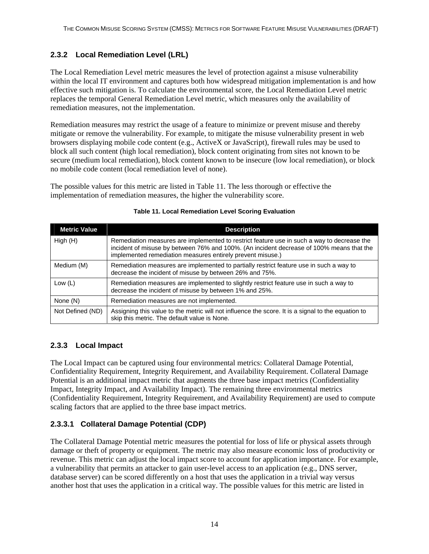## <span id="page-21-0"></span>**2.3.2 Local Remediation Level (LRL)**

The Local Remediation Level metric measures the level of protection against a misuse vulnerability within the local IT environment and captures both how widespread mitigation implementation is and how effective such mitigation is. To calculate the environmental score, the Local Remediation Level metric replaces the temporal General Remediation Level metric, which measures only the availability of remediation measures, not the implementation.

Remediation measures may restrict the usage of a feature to minimize or prevent misuse and thereby mitigate or remove the vulnerability. For example, to mitigate the misuse vulnerability present in web browsers displaying mobile code content (e.g., ActiveX or JavaScript), firewall rules may be used to block all such content (high local remediation), block content originating from sites not known to be secure (medium local remediation), block content known to be insecure (low local remediation), or block no mobile code content (local remediation level of none).

The possible values for this metric are listed in Table 11. The less thorough or effective the implementation of remediation measures, the higher the vulnerability score.

| <b>Metric Value</b> | <b>Description</b>                                                                                                                                                                                                                                   |
|---------------------|------------------------------------------------------------------------------------------------------------------------------------------------------------------------------------------------------------------------------------------------------|
| High (H)            | Remediation measures are implemented to restrict feature use in such a way to decrease the<br>incident of misuse by between 76% and 100%. (An incident decrease of 100% means that the<br>implemented remediation measures entirely prevent misuse.) |
| Medium (M)          | Remediation measures are implemented to partially restrict feature use in such a way to<br>decrease the incident of misuse by between 26% and 75%.                                                                                                   |
| Low $(L)$           | Remediation measures are implemented to slightly restrict feature use in such a way to<br>decrease the incident of misuse by between 1% and 25%.                                                                                                     |
| None (N)            | Remediation measures are not implemented.                                                                                                                                                                                                            |
| Not Defined (ND)    | Assigning this value to the metric will not influence the score. It is a signal to the equation to<br>skip this metric. The default value is None.                                                                                                   |

#### **Table 11. Local Remediation Level Scoring Evaluation**

#### **2.3.3 Local Impact**

The Local Impact can be captured using four environmental metrics: Collateral Damage Potential, Confidentiality Requirement, Integrity Requirement, and Availability Requirement. Collateral Damage Potential is an additional impact metric that augments the three base impact metrics (Confidentiality Impact, Integrity Impact, and Availability Impact). The remaining three environmental metrics (Confidentiality Requirement, Integrity Requirement, and Availability Requirement) are used to compute scaling factors that are applied to the three base impact metrics.

### **2.3.3.1 Collateral Damage Potential (CDP)**

The Collateral Damage Potential metric measures the potential for loss of life or physical assets through damage or theft of property or equipment. The metric may also measure economic loss of productivity or revenue. This metric can adjust the local impact score to account for application importance. For example, a vulnerability that permits an attacker to gain user-level access to an application (e.g., DNS server, database server) can be scored differently on a host that uses the application in a trivial way versus another host that uses the application in a critical way. The possible values for this metric are listed in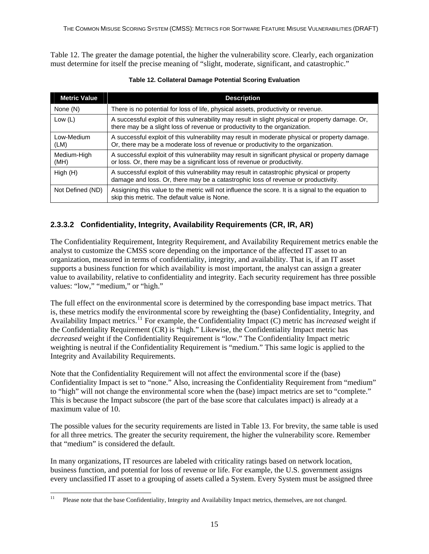<span id="page-22-0"></span>Table 12. The greater the damage potential, the higher the vulnerability score. Clearly, each organization must determine for itself the precise meaning of "slight, moderate, significant, and catastrophic."

| <b>Metric Value</b> | <b>Description</b>                                                                                                                                                                 |
|---------------------|------------------------------------------------------------------------------------------------------------------------------------------------------------------------------------|
| None (N)            | There is no potential for loss of life, physical assets, productivity or revenue.                                                                                                  |
| Low $(L)$           | A successful exploit of this vulnerability may result in slight physical or property damage. Or,<br>there may be a slight loss of revenue or productivity to the organization.     |
| Low-Medium<br>(LM)  | A successful exploit of this vulnerability may result in moderate physical or property damage.<br>Or, there may be a moderate loss of revenue or productivity to the organization. |
| Medium-High<br>(MH) | A successful exploit of this vulnerability may result in significant physical or property damage<br>or loss. Or, there may be a significant loss of revenue or productivity.       |
| High(H)             | A successful exploit of this vulnerability may result in catastrophic physical or property<br>damage and loss. Or, there may be a catastrophic loss of revenue or productivity.    |
| Not Defined (ND)    | Assigning this value to the metric will not influence the score. It is a signal to the equation to<br>skip this metric. The default value is None.                                 |

#### **Table 12. Collateral Damage Potential Scoring Evaluation**

### **2.3.3.2 Confidentiality, Integrity, Availability Requirements (CR, IR, AR)**

The Confidentiality Requirement, Integrity Requirement, and Availability Requirement metrics enable the analyst to customize the CMSS score depending on the importance of the affected IT asset to an organization, measured in terms of confidentiality, integrity, and availability. That is, if an IT asset supports a business function for which availability is most important, the analyst can assign a greater value to availability, relative to confidentiality and integrity. Each security requirement has three possible values: "low," "medium," or "high."

The full effect on the environmental score is determined by the corresponding base impact metrics. That is, these metrics modify the environmental score by reweighting the (base) Confidentiality, Integrity, and Availability Impact metrics.[11](#page-22-1) For example, the Confidentiality Impact (C) metric has *increased* weight if the Confidentiality Requirement (CR) is "high." Likewise, the Confidentiality Impact metric has *decreased* weight if the Confidentiality Requirement is "low." The Confidentiality Impact metric weighting is neutral if the Confidentiality Requirement is "medium." This same logic is applied to the Integrity and Availability Requirements.

Note that the Confidentiality Requirement will not affect the environmental score if the (base) Confidentiality Impact is set to "none." Also, increasing the Confidentiality Requirement from "medium" to "high" will not change the environmental score when the (base) impact metrics are set to "complete." This is because the Impact subscore (the part of the base score that calculates impact) is already at a maximum value of 10.

The possible values for the security requirements are listed in Table 13. For brevity, the same table is used for all three metrics. The greater the security requirement, the higher the vulnerability score. Remember that "medium" is considered the default.

In many organizations, IT resources are labeled with criticality ratings based on network location, business function, and potential for loss of revenue or life. For example, the U.S. government assigns every unclassified IT asset to a grouping of assets called a System. Every System must be assigned three

<span id="page-22-1"></span> $11$ 11 Please note that the base Confidentiality, Integrity and Availability Impact metrics, themselves, are not changed.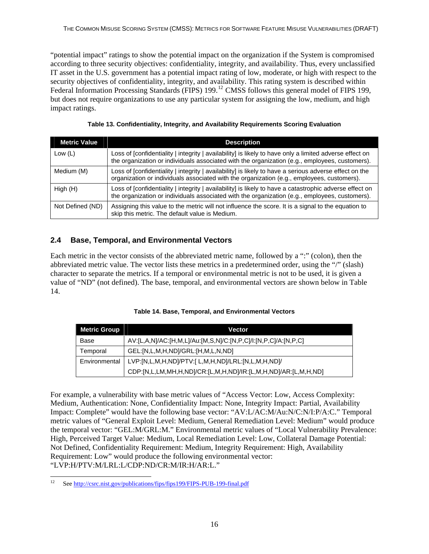<span id="page-23-0"></span>"potential impact" ratings to show the potential impact on the organization if the System is compromised according to three security objectives: confidentiality, integrity, and availability. Thus, every unclassified IT asset in the U.S. government has a potential impact rating of low, moderate, or high with respect to the security objectives of confidentiality, integrity, and availability. This rating system is described within Federal Information Processing Standards (FIPS) 199.<sup>[12](#page-23-1)</sup> CMSS follows this general model of FIPS 199. but does not require organizations to use any particular system for assigning the low, medium, and high impact ratings.

**Table 13. Confidentiality, Integrity, and Availability Requirements Scoring Evaluation** 

| <b>Metric Value</b> | <b>Description</b>                                                                                                                                                                                        |
|---------------------|-----------------------------------------------------------------------------------------------------------------------------------------------------------------------------------------------------------|
| Low $(L)$           | Loss of [confidentiality   integrity   availability] is likely to have only a limited adverse effect on<br>the organization or individuals associated with the organization (e.g., employees, customers). |
| Medium (M)          | Loss of [confidentiality   integrity   availability] is likely to have a serious adverse effect on the<br>organization or individuals associated with the organization (e.g., employees, customers).      |
| High(H)             | Loss of [confidentiality   integrity   availability] is likely to have a catastrophic adverse effect on<br>the organization or individuals associated with the organization (e.g., employees, customers). |
| Not Defined (ND)    | Assigning this value to the metric will not influence the score. It is a signal to the equation to<br>skip this metric. The default value is Medium.                                                      |

### **2.4 Base, Temporal, and Environmental Vectors**

Each metric in the vector consists of the abbreviated metric name, followed by a ":" (colon), then the abbreviated metric value. The vector lists these metrics in a predetermined order, using the "/" (slash) character to separate the metrics. If a temporal or environmental metric is not to be used, it is given a value of "ND" (not defined). The base, temporal, and environmental vectors are shown below in Table 14.

| Table 14. Base, Temporal, and Environmental Vectors |  |  |  |
|-----------------------------------------------------|--|--|--|
|-----------------------------------------------------|--|--|--|

| <b>Metric Group</b> | <b>Vector</b>                                                  |
|---------------------|----------------------------------------------------------------|
| Base                | AV:[L,A,N]/AC:[H,M,L]/Au:[M,S,N]/C:[N,P,C]/I:[N,P,C]/A:[N,P,C] |
| Temporal            | GEL:[N,L,M,H,ND]/GRL:[H,M,L,N,ND]                              |
| Environmental       | LVP:[N,L,M,H,ND]/PTV:[ L,M,H,ND]/LRL:[N,L,M,H,ND]/             |
|                     | CDP:[N,L,LM,MH,H,ND]/CR:[L,M,H,ND]/IR:[L,M,H,ND]/AR:[L,M,H,ND] |

For example, a vulnerability with base metric values of "Access Vector: Low, Access Complexity: Medium, Authentication: None, Confidentiality Impact: None, Integrity Impact: Partial, Availability Impact: Complete" would have the following base vector: "AV:L/AC:M/Au:N/C:N/I:P/A:C." Temporal metric values of "General Exploit Level: Medium, General Remediation Level: Medium" would produce the temporal vector: "GEL:M/GRL:M." Environmental metric values of "Local Vulnerability Prevalence: High, Perceived Target Value: Medium, Local Remediation Level: Low, Collateral Damage Potential: Not Defined, Confidentiality Requirement: Medium, Integrity Requirement: High, Availability Requirement: Low" would produce the following environmental vector: "LVP:H/PTV:M/LRL:L/CDP:ND/CR:M/IR:H/AR:L."

<span id="page-23-1"></span>l 12 See<http://csrc.nist.gov/publications/fips/fips199/FIPS-PUB-199-final.pdf>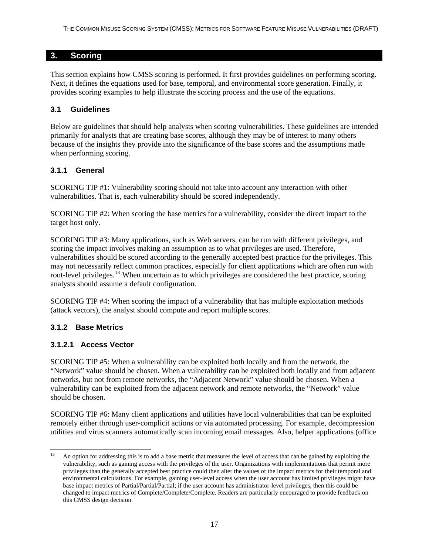#### <span id="page-24-0"></span>**3. Scoring**

This section explains how CMSS scoring is performed. It first provides guidelines on performing scoring. Next, it defines the equations used for base, temporal, and environmental score generation. Finally, it provides scoring examples to help illustrate the scoring process and the use of the equations.

#### **3.1 Guidelines**

Below are guidelines that should help analysts when scoring vulnerabilities. These guidelines are intended primarily for analysts that are creating base scores, although they may be of interest to many others because of the insights they provide into the significance of the base scores and the assumptions made when performing scoring.

#### **3.1.1 General**

SCORING TIP #1: Vulnerability scoring should not take into account any interaction with other vulnerabilities. That is, each vulnerability should be scored independently.

SCORING TIP #2: When scoring the base metrics for a vulnerability, consider the direct impact to the target host only.

SCORING TIP #3: Many applications, such as Web servers, can be run with different privileges, and scoring the impact involves making an assumption as to what privileges are used. Therefore, vulnerabilities should be scored according to the generally accepted best practice for the privileges. This may not necessarily reflect common practices, especially for client applications which are often run with root-level privileges.<sup>[13](#page-24-1)</sup> When uncertain as to which privileges are considered the best practice, scoring analysts should assume a default configuration.

SCORING TIP #4: When scoring the impact of a vulnerability that has multiple exploitation methods (attack vectors), the analyst should compute and report multiple scores.

### **3.1.2 Base Metrics**

#### **3.1.2.1 Access Vector**

SCORING TIP #5: When a vulnerability can be exploited both locally and from the network, the "Network" value should be chosen. When a vulnerability can be exploited both locally and from adjacent networks, but not from remote networks, the "Adjacent Network" value should be chosen. When a vulnerability can be exploited from the adjacent network and remote networks, the "Network" value should be chosen.

SCORING TIP #6: Many client applications and utilities have local vulnerabilities that can be exploited remotely either through user-complicit actions or via automated processing. For example, decompression utilities and virus scanners automatically scan incoming email messages. Also, helper applications (office

<span id="page-24-1"></span><sup>1</sup> 13 An option for addressing this is to add a base metric that measures the level of access that can be gained by exploiting the vulnerability, such as gaining access with the privileges of the user. Organizations with implementations that permit more privileges than the generally accepted best practice could then alter the values of the impact metrics for their temporal and environmental calculations. For example, gaining user-level access when the user account has limited privileges might have base impact metrics of Partial/Partial/Partial; if the user account has administrator-level privileges, then this could be changed to impact metrics of Complete/Complete/Complete. Readers are particularly encouraged to provide feedback on this CMSS design decision.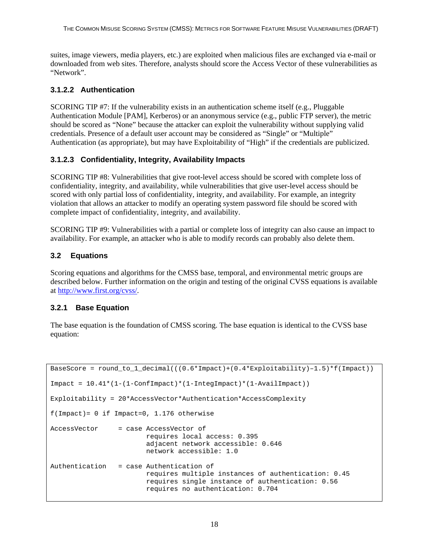<span id="page-25-0"></span>suites, image viewers, media players, etc.) are exploited when malicious files are exchanged via e-mail or downloaded from web sites. Therefore, analysts should score the Access Vector of these vulnerabilities as "Network".

#### **3.1.2.2 Authentication**

SCORING TIP #7: If the vulnerability exists in an authentication scheme itself (e.g., Pluggable Authentication Module [PAM], Kerberos) or an anonymous service (e.g., public FTP server), the metric should be scored as "None" because the attacker can exploit the vulnerability without supplying valid credentials. Presence of a default user account may be considered as "Single" or "Multiple" Authentication (as appropriate), but may have Exploitability of "High" if the credentials are publicized.

#### **3.1.2.3 Confidentiality, Integrity, Availability Impacts**

SCORING TIP #8: Vulnerabilities that give root-level access should be scored with complete loss of confidentiality, integrity, and availability, while vulnerabilities that give user-level access should be scored with only partial loss of confidentiality, integrity, and availability. For example, an integrity violation that allows an attacker to modify an operating system password file should be scored with complete impact of confidentiality, integrity, and availability.

SCORING TIP #9: Vulnerabilities with a partial or complete loss of integrity can also cause an impact to availability. For example, an attacker who is able to modify records can probably also delete them.

#### **3.2 Equations**

Scoring equations and algorithms for the CMSS base, temporal, and environmental metric groups are described below. Further information on the origin and testing of the original CVSS equations is available at [http://www.first.org/cvss/.](http://www.first.org/cvss/)

#### **3.2.1 Base Equation**

The base equation is the foundation of CMSS scoring. The base equation is identical to the CVSS base equation:

```
BaseScore = round_to_1_decimal(((0.6*Impact)+(0.4*Exploitability)–1.5)*f(Impact)) 
Import = 10.41*(1-(1-ConfImport)*(1-IntegImport)*(1-AvailImport))Exploitability = 20*AccessVector*Authentication*AccessComplexity 
f(Impack) = 0 if Impact=0, 1.176 otherwise
AccessVector = case AccessVector of
                         requires local access: 0.395 
                         adjacent network accessible: 0.646 
                         network accessible: 1.0 
Authentication = case Authentication of 
                         requires multiple instances of authentication: 0.45 
                         requires single instance of authentication: 0.56 
                         requires no authentication: 0.704
```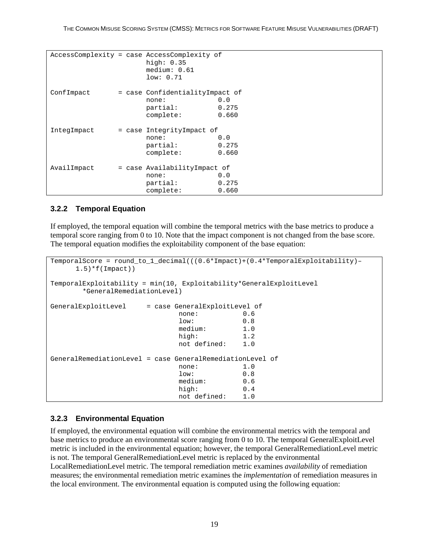```
AccessComplexity = case AccessComplexity of 
                   high: 0.35 
                   medium: 0.61 
                   low: 0.71 
ConfImpact = case ConfidentialityImpact of
none: 0.0
                  partial: 0.275<br>complete: 0.660
                  complete:
IntegImpact = case IntegrityImpact of
                   none: 0.0 
                   partial: 0.275 
                   complete: 0.660 
AvailImpact = case AvailabilityImpact of
none: 0.0
                   partial: 0.275 
                   complete: 0.660
```
#### **3.2.2 Temporal Equation**

If employed, the temporal equation will combine the temporal metrics with the base metrics to produce a temporal score ranging from 0 to 10. Note that the impact component is not changed from the base score. The temporal equation modifies the exploitability component of the base equation:

```
TemporalScore = round_to_1_decimal(((0.6*Impact)+(0.4*TemporalExploitability)– 
   1.5) *f(Impack))
TemporalExploitability = min(10, Exploitability*GeneralExploitLevel 
      *GeneralRemediationLevel) 
GeneralExploitLevel = case GeneralExploitLevel of 
none: 0.6 low: 0.8 
                     medium: 1.0 
 high: 1.2 
                     not defined: 1.0 
GeneralRemediationLevel = case GeneralRemediationLevel of 
none: 1.0 low: 0.8 
                     medium: 0.6 
 high: 0.4 
                     not defined: 1.0
```
#### **3.2.3 Environmental Equation**

If employed, the environmental equation will combine the environmental metrics with the temporal and base metrics to produce an environmental score ranging from 0 to 10. The temporal GeneralExploitLevel metric is included in the environmental equation; however, the temporal GeneralRemediationLevel metric is not. The temporal GeneralRemediationLevel metric is replaced by the environmental LocalRemediationLevel metric. The temporal remediation metric examines *availability* of remediation measures; the environmental remediation metric examines the *implementation* of remediation measures in the local environment. The environmental equation is computed using the following equation: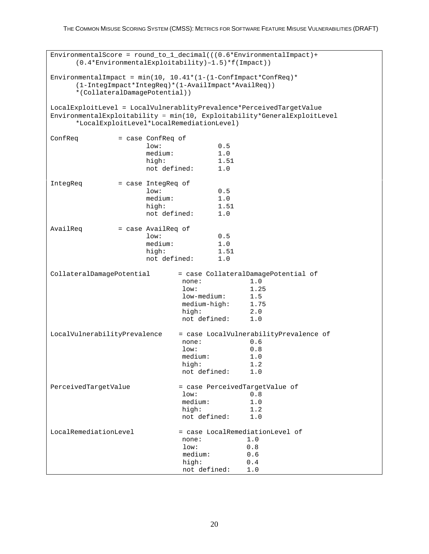```
EnvironmentalScore = round to 1 decimal(((0.6*EnvironmentalImpact)+
    (0.4*EnvironmentalExploitability)–1.5)*f(Impact)) 
EnvironmentalImpact = min(10, 10.41*(1-(1-ConfImpack*ConfReg)*(1-IntegImpact*IntegReq)*(1-AvailImpact*AvailReq)) 
    *(CollateralDamagePotential)) 
LocalExploitLevel = LocalVulnerablityPrevalence*PerceivedTargetValue 
EnvironmentalExploitability = min(10, Exploitability*GeneralExploitLevel 
    *LocalExploitLevel*LocalRemediationLevel) 
ConfReq = case ConfReq of<br>low:
 low: 0.5 
               medium: 1.0<br>high: 1.51
 high: 1.51 
                not defined: 1.0 
IntegReq = case IntegReq of
 low: 0.5 
                medium: 1.0 
                high: 1.51 
                not defined: 1.0 
AvailReq = case AvailReq of
 low: 0.5 
               medium: 1.0<br>high: 1.51
 high: 1.51 
                not defined: 1.0 
CollateralDamagePotential = case CollateralDamagePotential of 
                      none: 1.0 
 low: 1.25 
                      low-medium: 1.5 
                     medium-high: 1.75<br>high: 2.0
 high: 2.0 
                      not defined: 1.0 
LocalVulnerabilityPrevalence = case LocalVulnerabilityPrevalence of<br>0.6
none: 0.6 low: 0.8 
                      medium: 1.0 
 high: 1.2 
                      not defined: 1.0 
PerceivedTargetValue = case PerceivedTargetValue of
 low: 0.8 
                      medium: 1.0 
 high: 1.2 
                      not defined: 1.0 
LocalRemediationLevel = case LocalRemediationLevel of
none: 1.0 low: 0.8 
                      medium: 0.6 
 high: 0.4 
                      not defined: 1.0
```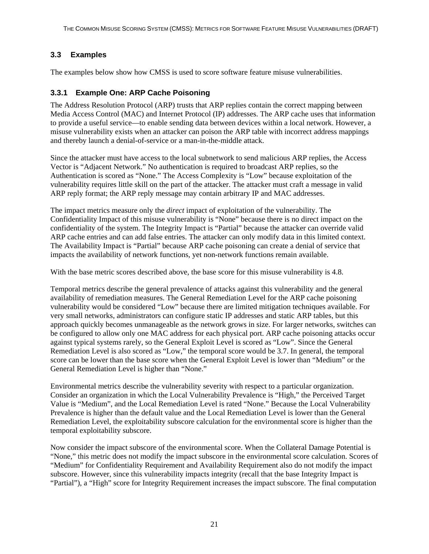### <span id="page-28-0"></span>**3.3 Examples**

The examples below show how CMSS is used to score software feature misuse vulnerabilities.

#### **3.3.1 Example One: ARP Cache Poisoning**

The Address Resolution Protocol (ARP) trusts that ARP replies contain the correct mapping between Media Access Control (MAC) and Internet Protocol (IP) addresses. The ARP cache uses that information to provide a useful service—to enable sending data between devices within a local network. However, a misuse vulnerability exists when an attacker can poison the ARP table with incorrect address mappings and thereby launch a denial-of-service or a man-in-the-middle attack.

Since the attacker must have access to the local subnetwork to send malicious ARP replies, the Access Vector is "Adjacent Network." No authentication is required to broadcast ARP replies, so the Authentication is scored as "None." The Access Complexity is "Low" because exploitation of the vulnerability requires little skill on the part of the attacker. The attacker must craft a message in valid ARP reply format; the ARP reply message may contain arbitrary IP and MAC addresses.

The impact metrics measure only the *direct* impact of exploitation of the vulnerability. The Confidentiality Impact of this misuse vulnerability is "None" because there is no direct impact on the confidentiality of the system. The Integrity Impact is "Partial" because the attacker can override valid ARP cache entries and can add false entries. The attacker can only modify data in this limited context. The Availability Impact is "Partial" because ARP cache poisoning can create a denial of service that impacts the availability of network functions, yet non-network functions remain available.

With the base metric scores described above, the base score for this misuse vulnerability is 4.8.

Temporal metrics describe the general prevalence of attacks against this vulnerability and the general availability of remediation measures. The General Remediation Level for the ARP cache poisoning vulnerability would be considered "Low" because there are limited mitigation techniques available. For very small networks, administrators can configure static IP addresses and static ARP tables, but this approach quickly becomes unmanageable as the network grows in size. For larger networks, switches can be configured to allow only one MAC address for each physical port. ARP cache poisoning attacks occur against typical systems rarely, so the General Exploit Level is scored as "Low". Since the General Remediation Level is also scored as "Low," the temporal score would be 3.7. In general, the temporal score can be lower than the base score when the General Exploit Level is lower than "Medium" or the General Remediation Level is higher than "None."

Environmental metrics describe the vulnerability severity with respect to a particular organization. Consider an organization in which the Local Vulnerability Prevalence is "High," the Perceived Target Value is "Medium", and the Local Remediation Level is rated "None." Because the Local Vulnerability Prevalence is higher than the default value and the Local Remediation Level is lower than the General Remediation Level, the exploitability subscore calculation for the environmental score is higher than the temporal exploitability subscore.

Now consider the impact subscore of the environmental score. When the Collateral Damage Potential is "None," this metric does not modify the impact subscore in the environmental score calculation. Scores of "Medium" for Confidentiality Requirement and Availability Requirement also do not modify the impact subscore. However, since this vulnerability impacts integrity (recall that the base Integrity Impact is "Partial"), a "High" score for Integrity Requirement increases the impact subscore. The final computation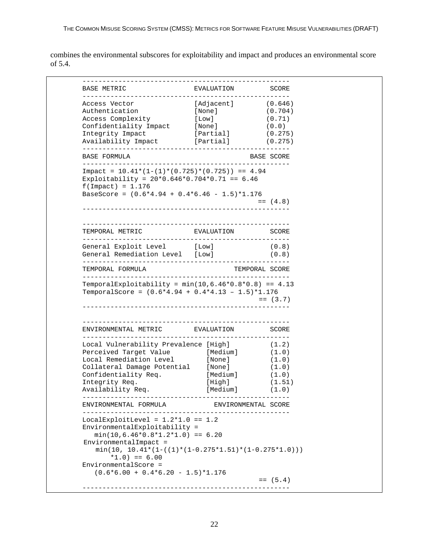combines the environmental subscores for exploitability and impact and produces an environmental score of 5.4.

| <b>BASE METRIC</b>                                                                                                                                                           | EVALUATION           | SCORE                                         |
|------------------------------------------------------------------------------------------------------------------------------------------------------------------------------|----------------------|-----------------------------------------------|
| Access Vector                                                                                                                                                                | [Adjacent]           | (0.646)                                       |
| Authentication                                                                                                                                                               | [None]               | (0.704)                                       |
| Access Complexity                                                                                                                                                            | [Low]                | (0.71)                                        |
| Confidentiality Impact                                                                                                                                                       | [None ]              | (0.0)                                         |
| Integrity Impact                                                                                                                                                             | [Partial]            |                                               |
|                                                                                                                                                                              |                      | (0.275)                                       |
| Availability Impact                                                                                                                                                          | [Partial]            | (0.275)                                       |
| <b>BASE FORMULA</b><br>-----------------------------                                                                                                                         |                      | BASE SCORE                                    |
| Impact = $10.41*(1-(1)*(0.725)*(0.725)) == 4.94$<br>Exploitability = $20*0.646*0.704*0.71 == 6.46$<br>$f(Impack) = 1.176$<br>BaseScore = $(0.6*4.94 + 0.4*6.46 - 1.5)*1.176$ |                      |                                               |
|                                                                                                                                                                              |                      | $= 4.8$                                       |
|                                                                                                                                                                              |                      |                                               |
| TEMPORAL METRIC<br>----------                                                                                                                                                | EVALUATION<br>$   -$ | SCORE                                         |
| General Exploit Level [Low]                                                                                                                                                  |                      | (0.8)                                         |
| General Remediation Level [Low]                                                                                                                                              |                      | (0.8)                                         |
|                                                                                                                                                                              |                      |                                               |
| TEMPORAL FORMULA<br>TemporalExploitability = $min(10, 6.46*0.8*0.8) == 4.13$                                                                                                 |                      |                                               |
| TemporalScore = $(0.6*4.94 + 0.4*4.13 - 1.5)*1.176$                                                                                                                          |                      |                                               |
| ENVIRONMENTAL METRIC                                                                                                                                                         | EVALUATION           |                                               |
| Local Vulnerability Prevalence [High]                                                                                                                                        |                      | TEMPORAL SCORE<br>$= (3.7)$<br>SCORE<br>(1.2) |
| Perceived Target Value                                                                                                                                                       | [Medium]             | (1.0)                                         |
| Local Remediation Level                                                                                                                                                      | [None]               | (1.0)                                         |
|                                                                                                                                                                              | [None]               |                                               |
| Collateral Damage Potential                                                                                                                                                  |                      | (1.0)                                         |
| Confidentiality Req.                                                                                                                                                         | [Medium]             | (1.0)                                         |
| Integrity Req.<br>Availability Req.                                                                                                                                          | [High]<br>[Medium]   | (1.51)<br>$(\,1\,, 0\,)$                      |
| ENVIRONMENTAL FORMULA                                                                                                                                                        | ENVIRONMENTAL SCORE  |                                               |
|                                                                                                                                                                              |                      |                                               |
| LocalExploitLevel = $1.2*1.0 == 1.2$                                                                                                                                         |                      |                                               |
| EnvironmentalExploitability =                                                                                                                                                |                      |                                               |
| $min(10, 6.46*0.8*1.2*1.0) == 6.20$                                                                                                                                          |                      |                                               |
| EnvironmentalImpact =<br>$min(10, 10.41*(1-((1)*(1-0.275*1.51)*(1-0.275*1.0)))$                                                                                              |                      |                                               |
| $*1.0$ ) == 6.00<br>EnvironmentalScore =                                                                                                                                     |                      |                                               |
| $(0.6 * 6.00 + 0.4 * 6.20 - 1.5) * 1.176$                                                                                                                                    |                      | $=$ (5.4)                                     |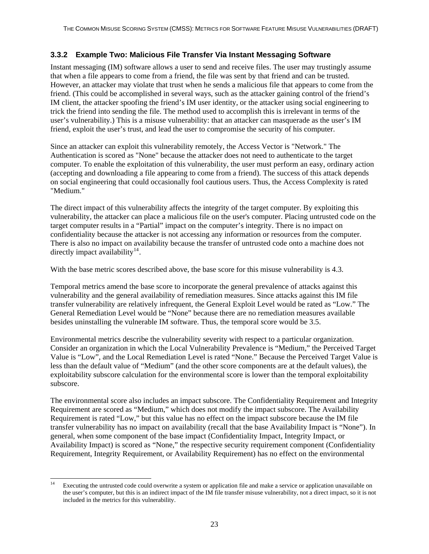#### <span id="page-30-0"></span>**3.3.2 Example Two: Malicious File Transfer Via Instant Messaging Software**

Instant messaging (IM) software allows a user to send and receive files. The user may trustingly assume that when a file appears to come from a friend, the file was sent by that friend and can be trusted. However, an attacker may violate that trust when he sends a malicious file that appears to come from the friend. (This could be accomplished in several ways, such as the attacker gaining control of the friend's IM client, the attacker spoofing the friend's IM user identity, or the attacker using social engineering to trick the friend into sending the file. The method used to accomplish this is irrelevant in terms of the user's vulnerability.) This is a misuse vulnerability: that an attacker can masquerade as the user's IM friend, exploit the user's trust, and lead the user to compromise the security of his computer.

Since an attacker can exploit this vulnerability remotely, the Access Vector is "Network." The Authentication is scored as "None" because the attacker does not need to authenticate to the target computer. To enable the exploitation of this vulnerability, the user must perform an easy, ordinary action (accepting and downloading a file appearing to come from a friend). The success of this attack depends on social engineering that could occasionally fool cautious users. Thus, the Access Complexity is rated "Medium."

The direct impact of this vulnerability affects the integrity of the target computer. By exploiting this vulnerability, the attacker can place a malicious file on the user's computer. Placing untrusted code on the target computer results in a "Partial" impact on the computer's integrity. There is no impact on confidentiality because the attacker is not accessing any information or resources from the computer. There is also no impact on availability because the transfer of untrusted code onto a machine does not directly impact availability<sup>[14](#page-30-1)</sup>.

With the base metric scores described above, the base score for this misuse vulnerability is 4.3.

Temporal metrics amend the base score to incorporate the general prevalence of attacks against this vulnerability and the general availability of remediation measures. Since attacks against this IM file transfer vulnerability are relatively infrequent, the General Exploit Level would be rated as "Low." The General Remediation Level would be "None" because there are no remediation measures available besides uninstalling the vulnerable IM software. Thus, the temporal score would be 3.5.

Environmental metrics describe the vulnerability severity with respect to a particular organization. Consider an organization in which the Local Vulnerability Prevalence is "Medium," the Perceived Target Value is "Low", and the Local Remediation Level is rated "None." Because the Perceived Target Value is less than the default value of "Medium" (and the other score components are at the default values), the exploitability subscore calculation for the environmental score is lower than the temporal exploitability subscore.

The environmental score also includes an impact subscore. The Confidentiality Requirement and Integrity Requirement are scored as "Medium," which does not modify the impact subscore. The Availability Requirement is rated "Low," but this value has no effect on the impact subscore because the IM file transfer vulnerability has no impact on availability (recall that the base Availability Impact is "None"). In general, when some component of the base impact (Confidentiality Impact, Integrity Impact, or Availability Impact) is scored as "None," the respective security requirement component (Confidentiality Requirement, Integrity Requirement, or Availability Requirement) has no effect on the environmental

<span id="page-30-1"></span> $14$ Executing the untrusted code could overwrite a system or application file and make a service or application unavailable on the user's computer, but this is an indirect impact of the IM file transfer misuse vulnerability, not a direct impact, so it is not included in the metrics for this vulnerability.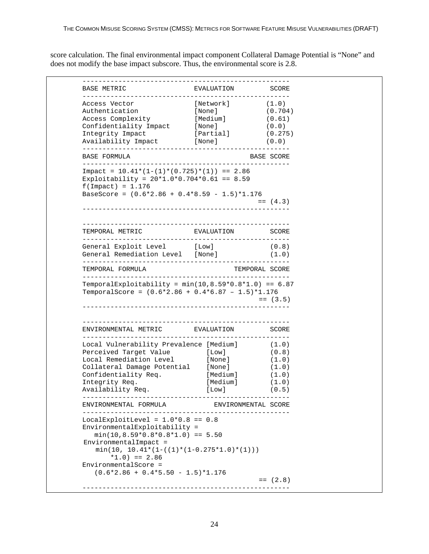score calculation. The final environmental impact component Collateral Damage Potential is "None" and does not modify the base impact subscore. Thus, the environmental score is 2.8.

| BASE METRIC                                                                                                                                                            | EVALUATION                                  | SCORE                                                           |
|------------------------------------------------------------------------------------------------------------------------------------------------------------------------|---------------------------------------------|-----------------------------------------------------------------|
| Access Vector                                                                                                                                                          | [Network]                                   | (1.0)                                                           |
| Authentication                                                                                                                                                         | [None]                                      | (0.704)                                                         |
| Access Complexity                                                                                                                                                      | [Medium]                                    | (0.61)                                                          |
| Confidentiality Impact [None]                                                                                                                                          |                                             | (0.0)                                                           |
| Integrity Impact                                                                                                                                                       | [Partial]                                   | (0.275)                                                         |
| Availability Impact<br>. _ _ _ _ _ _ _ _ _ _ _ _ _ _ _ _ _                                                                                                             | [None ]                                     | (0.0)                                                           |
| <b>BASE FORMULA</b>                                                                                                                                                    |                                             | BASE SCORE                                                      |
| Impact = $10.41*(1-(1)*(0.725)*(1)) == 2.86$<br>Exploitability = $20*1.0*0.704*0.61 == 8.59$<br>$f(Impack) = 1.176$<br>BaseScore = $(0.6*2.86 + 0.4*8.59 - 1.5)*1.176$ |                                             |                                                                 |
|                                                                                                                                                                        |                                             | $=$ (4.3)                                                       |
|                                                                                                                                                                        |                                             |                                                                 |
| TEMPORAL METRIC<br>____________________                                                                                                                                | EVALUATION<br>----------------------------- | SCORE                                                           |
| General Exploit Level [Low]                                                                                                                                            |                                             | (0.8)                                                           |
| General Remediation Level [None]<br>______________________________________                                                                                             |                                             | (1.0)                                                           |
|                                                                                                                                                                        |                                             |                                                                 |
| TEMPORAL FORMULA<br>TemporalExploitability = $min(10, 8.59*0.8*1.0) == 6.87$                                                                                           |                                             | ----------                                                      |
| TemporalScore = $(0.6*2.86 + 0.4*6.87 - 1.5)*1.176$                                                                                                                    |                                             |                                                                 |
| ENVIRONMENTAL METRIC EVALUATION                                                                                                                                        |                                             |                                                                 |
| Local Vulnerability Prevalence [Medium]                                                                                                                                |                                             |                                                                 |
| Perceived Target Value                                                                                                                                                 | [Low]                                       |                                                                 |
| Local Remediation Level                                                                                                                                                | [None]                                      | TEMPORAL SCORE<br>$= (3.5)$<br>SCORE<br>(1.0)<br>(0.8)<br>(1.0) |
|                                                                                                                                                                        | [None]                                      |                                                                 |
| Collateral Damage Potential<br>Confidentiality Req.                                                                                                                    | [Medium]                                    |                                                                 |
| Integrity Req.                                                                                                                                                         | [Medium]                                    | (1.0)<br>(1.0)<br>(1.0)                                         |
| Availability Req.<br>. _ _ _ _ _ _ _ _ _ _ _ _                                                                                                                         | $[$ Low $]$                                 |                                                                 |
| ENVIRONMENTAL FORMULA                                                                                                                                                  | ENVIRONMENTAL SCORE                         |                                                                 |
| LocalExploitLevel = $1.0*0.8 == 0.8$                                                                                                                                   |                                             |                                                                 |
| EnvironmentalExploitability =<br>$min(10, 8.59*0.8*0.8*1.0) == 5.50$                                                                                                   |                                             |                                                                 |
| EnvironmentalImpact =<br>$min(10, 10.41*(1-((1)*(1-0.275*1.0)*(1)))$                                                                                                   |                                             |                                                                 |
| $*1.0$ ) == 2.86<br>EnvironmentalScore =                                                                                                                               |                                             |                                                                 |
| $(0.6*2.86 + 0.4*5.50 - 1.5)*1.176$                                                                                                                                    |                                             | (0.5)                                                           |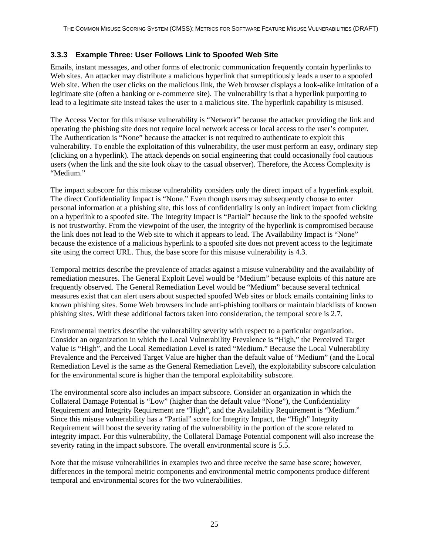#### <span id="page-32-0"></span>**3.3.3 Example Three: User Follows Link to Spoofed Web Site**

Emails, instant messages, and other forms of electronic communication frequently contain hyperlinks to Web sites. An attacker may distribute a malicious hyperlink that surreptitiously leads a user to a spoofed Web site. When the user clicks on the malicious link, the Web browser displays a look-alike imitation of a legitimate site (often a banking or e-commerce site). The vulnerability is that a hyperlink purporting to lead to a legitimate site instead takes the user to a malicious site. The hyperlink capability is misused.

The Access Vector for this misuse vulnerability is "Network" because the attacker providing the link and operating the phishing site does not require local network access or local access to the user's computer. The Authentication is "None" because the attacker is not required to authenticate to exploit this vulnerability. To enable the exploitation of this vulnerability, the user must perform an easy, ordinary step (clicking on a hyperlink). The attack depends on social engineering that could occasionally fool cautious users (when the link and the site look okay to the casual observer). Therefore, the Access Complexity is "Medium."

The impact subscore for this misuse vulnerability considers only the direct impact of a hyperlink exploit. The direct Confidentiality Impact is "None." Even though users may subsequently choose to enter personal information at a phishing site, this loss of confidentiality is only an indirect impact from clicking on a hyperlink to a spoofed site. The Integrity Impact is "Partial" because the link to the spoofed website is not trustworthy. From the viewpoint of the user, the integrity of the hyperlink is compromised because the link does not lead to the Web site to which it appears to lead. The Availability Impact is "None" because the existence of a malicious hyperlink to a spoofed site does not prevent access to the legitimate site using the correct URL. Thus, the base score for this misuse vulnerability is 4.3.

Temporal metrics describe the prevalence of attacks against a misuse vulnerability and the availability of remediation measures. The General Exploit Level would be "Medium" because exploits of this nature are frequently observed. The General Remediation Level would be "Medium" because several technical measures exist that can alert users about suspected spoofed Web sites or block emails containing links to known phishing sites. Some Web browsers include anti-phishing toolbars or maintain blacklists of known phishing sites. With these additional factors taken into consideration, the temporal score is 2.7.

Environmental metrics describe the vulnerability severity with respect to a particular organization. Consider an organization in which the Local Vulnerability Prevalence is "High," the Perceived Target Value is "High", and the Local Remediation Level is rated "Medium." Because the Local Vulnerability Prevalence and the Perceived Target Value are higher than the default value of "Medium" (and the Local Remediation Level is the same as the General Remediation Level), the exploitability subscore calculation for the environmental score is higher than the temporal exploitability subscore.

The environmental score also includes an impact subscore. Consider an organization in which the Collateral Damage Potential is "Low" (higher than the default value "None"), the Confidentiality Requirement and Integrity Requirement are "High", and the Availability Requirement is "Medium." Since this misuse vulnerability has a "Partial" score for Integrity Impact, the "High" Integrity Requirement will boost the severity rating of the vulnerability in the portion of the score related to integrity impact. For this vulnerability, the Collateral Damage Potential component will also increase the severity rating in the impact subscore. The overall environmental score is 5.5.

Note that the misuse vulnerabilities in examples two and three receive the same base score; however, differences in the temporal metric components and environmental metric components produce different temporal and environmental scores for the two vulnerabilities.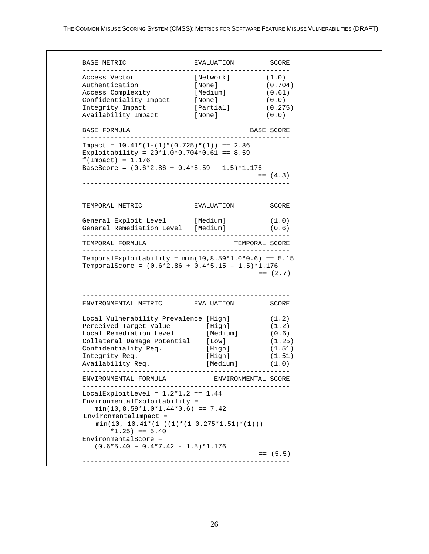| BASE METRIC                                                                                                         | EVALUATION<br>---------- | SCORE                      |
|---------------------------------------------------------------------------------------------------------------------|--------------------------|----------------------------|
| Access Vector                                                                                                       | [Network]                | (1.0)                      |
| Authentication                                                                                                      | [None]                   | (0.704)                    |
| Access Complexity                                                                                                   | [Medium]                 | (0.61)                     |
| Confidentiality Impact                                                                                              | [None]                   | (0.0)                      |
| Integrity Impact                                                                                                    | [Partial]                | (0.275)                    |
| Availability Impact<br>---------------                                                                              | [None]                   | (0.0)                      |
| BASE FORMULA<br>_____________________________                                                                       | -------------------      | BASE SCORE                 |
| Impact = $10.41*(1-(1)*(0.725)*(1)) == 2.86$<br>Exploitability = $20*1.0*0.704*0.61 == 8.59$<br>$f(Impack) = 1.176$ |                          |                            |
| BaseScore = $(0.6*2.86 + 0.4*8.59 - 1.5)*1.176$                                                                     |                          | $=$ (4.3)                  |
|                                                                                                                     |                          |                            |
| TEMPORAL METRIC                                                                                                     | EVALUATION               | SCORE                      |
| General Exploit Level [Medium]                                                                                      |                          | (1.0)                      |
| General Remediation Level [Medium]                                                                                  |                          | (0.6)                      |
| TEMPORAL FORMULA                                                                                                    |                          |                            |
| TemporalExploitability = $min(10, 8.59*1.0*0.6) == 5.15$                                                            |                          | TEMPORAL SCORE             |
| TemporalScore = $(0.6*2.86 + 0.4*5.15 - 1.5)*1.176$                                                                 |                          |                            |
| ENVIRONMENTAL METRIC EVALUATION                                                                                     | ------------             | $=$ (2.7)<br>SCORE         |
| Local Vulnerability Prevalence [High]                                                                               |                          | (1.2)                      |
| Perceived Target Value                                                                                              | [High]                   | (1.2)                      |
| Local Remediation Level                                                                                             | [Medium]                 | (0.6)                      |
| Collateral Damage Potential                                                                                         | [Low]                    |                            |
| Confidentiality Req.                                                                                                | [High]                   |                            |
| Integrity Req.                                                                                                      | [High]                   | (1.25)<br>(1.51)<br>(1.51) |
| Availability Req.                                                                                                   | [Medium]                 | (1.0)                      |
| ENVIRONMENTAL FORMULA                                                                                               | ENVIRONMENTAL SCORE      |                            |
| LocalExploitLevel = $1.2*1.2 == 1.44$                                                                               |                          |                            |
| EnvironmentalExploitability =<br>$min(10, 8.59 * 1.0 * 1.44 * 0.6) == 7.42$                                         |                          |                            |
| EnvironmentalImpact =<br>$\texttt{min(10, 10.41* (1-((1)*(1-0.275*1.51)*(1)))}$                                     |                          |                            |
| $*1.25$ = 5.40                                                                                                      |                          |                            |
| EnvironmentalScore =<br>$(0.6*5.40 + 0.4*7.42 - 1.5)*1.176$                                                         |                          |                            |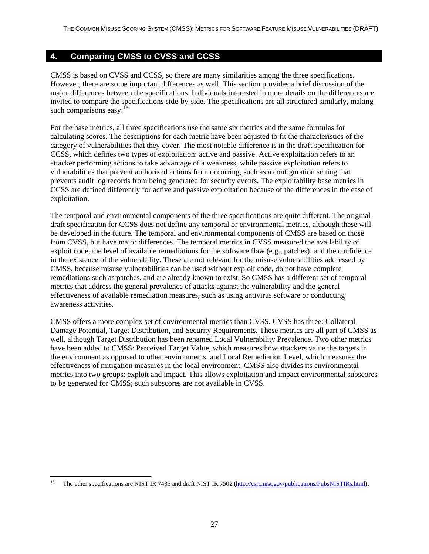# <span id="page-34-0"></span>**4. Comparing CMSS to CVSS and CCSS**

CMSS is based on CVSS and CCSS, so there are many similarities among the three specifications. However, there are some important differences as well. This section provides a brief discussion of the major differences between the specifications. Individuals interested in more details on the differences are invited to compare the specifications side-by-side. The specifications are all structured similarly, making such comparisons easy.<sup>[15](#page-34-1)</sup>

For the base metrics, all three specifications use the same six metrics and the same formulas for calculating scores. The descriptions for each metric have been adjusted to fit the characteristics of the category of vulnerabilities that they cover. The most notable difference is in the draft specification for CCSS, which defines two types of exploitation: active and passive. Active exploitation refers to an attacker performing actions to take advantage of a weakness, while passive exploitation refers to vulnerabilities that prevent authorized actions from occurring, such as a configuration setting that prevents audit log records from being generated for security events. The exploitability base metrics in CCSS are defined differently for active and passive exploitation because of the differences in the ease of exploitation.

The temporal and environmental components of the three specifications are quite different. The original draft specification for CCSS does not define any temporal or environmental metrics, although these will be developed in the future. The temporal and environmental components of CMSS are based on those from CVSS, but have major differences. The temporal metrics in CVSS measured the availability of exploit code, the level of available remediations for the software flaw (e.g., patches), and the confidence in the existence of the vulnerability. These are not relevant for the misuse vulnerabilities addressed by CMSS, because misuse vulnerabilities can be used without exploit code, do not have complete remediations such as patches, and are already known to exist. So CMSS has a different set of temporal metrics that address the general prevalence of attacks against the vulnerability and the general effectiveness of available remediation measures, such as using antivirus software or conducting awareness activities.

CMSS offers a more complex set of environmental metrics than CVSS. CVSS has three: Collateral Damage Potential, Target Distribution, and Security Requirements. These metrics are all part of CMSS as well, although Target Distribution has been renamed Local Vulnerability Prevalence. Two other metrics have been added to CMSS: Perceived Target Value, which measures how attackers value the targets in the environment as opposed to other environments, and Local Remediation Level, which measures the effectiveness of mitigation measures in the local environment. CMSS also divides its environmental metrics into two groups: exploit and impact. This allows exploitation and impact environmental subscores to be generated for CMSS; such subscores are not available in CVSS.

<span id="page-34-1"></span>l 15 The other specifications are NIST IR 7435 and draft NIST IR 7502 [\(http://csrc.nist.gov/publications/PubsNISTIRs.html\)](http://csrc.nist.gov/publications/PubsNISTIRs.html).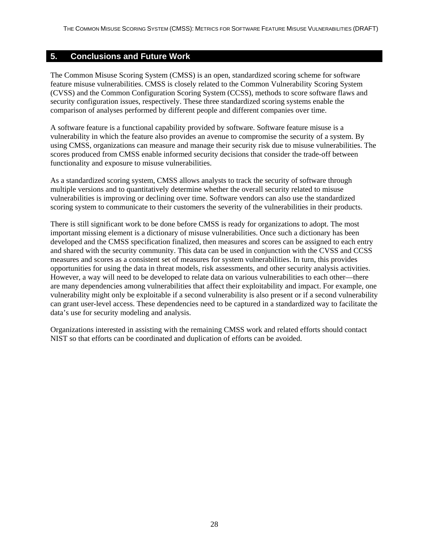#### <span id="page-35-0"></span>**5. Conclusions and Future Work**

The Common Misuse Scoring System (CMSS) is an open, standardized scoring scheme for software feature misuse vulnerabilities. CMSS is closely related to the Common Vulnerability Scoring System (CVSS) and the Common Configuration Scoring System (CCSS), methods to score software flaws and security configuration issues, respectively. These three standardized scoring systems enable the comparison of analyses performed by different people and different companies over time.

A software feature is a functional capability provided by software. Software feature misuse is a vulnerability in which the feature also provides an avenue to compromise the security of a system. By using CMSS, organizations can measure and manage their security risk due to misuse vulnerabilities. The scores produced from CMSS enable informed security decisions that consider the trade-off between functionality and exposure to misuse vulnerabilities.

As a standardized scoring system, CMSS allows analysts to track the security of software through multiple versions and to quantitatively determine whether the overall security related to misuse vulnerabilities is improving or declining over time. Software vendors can also use the standardized scoring system to communicate to their customers the severity of the vulnerabilities in their products.

There is still significant work to be done before CMSS is ready for organizations to adopt. The most important missing element is a dictionary of misuse vulnerabilities. Once such a dictionary has been developed and the CMSS specification finalized, then measures and scores can be assigned to each entry and shared with the security community. This data can be used in conjunction with the CVSS and CCSS measures and scores as a consistent set of measures for system vulnerabilities. In turn, this provides opportunities for using the data in threat models, risk assessments, and other security analysis activities. However, a way will need to be developed to relate data on various vulnerabilities to each other—there are many dependencies among vulnerabilities that affect their exploitability and impact. For example, one vulnerability might only be exploitable if a second vulnerability is also present or if a second vulnerability can grant user-level access. These dependencies need to be captured in a standardized way to facilitate the data's use for security modeling and analysis.

Organizations interested in assisting with the remaining CMSS work and related efforts should contact NIST so that efforts can be coordinated and duplication of efforts can be avoided.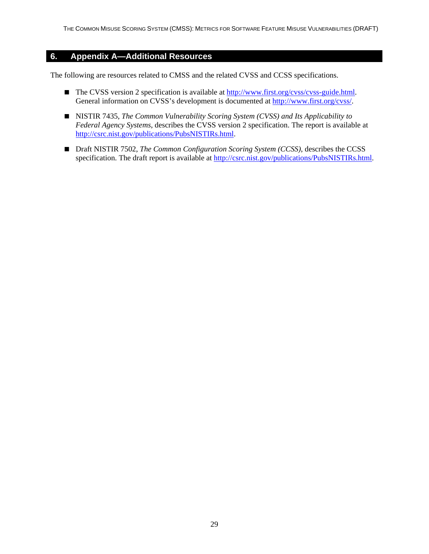#### <span id="page-36-0"></span>**6. Appendix A—Additional Resources**

The following are resources related to CMSS and the related CVSS and CCSS specifications.

- The CVSS version 2 specification is available at [http://www.first.org/cvss/cvss-guide.html.](http://www.first.org/cvss/cvss-guide.html) General information on CVSS's development is documented at<http://www.first.org/cvss/>.
- NISTIR 7435, *The Common Vulnerability Scoring System (CVSS) and Its Applicability to Federal Agency Systems*, describes the CVSS version 2 specification. The report is available at [http://csrc.nist.gov/publications/PubsNISTIRs.html.](http://csrc.nist.gov/publications/PubsNISTIRs.html)
- Draft NISTIR 7502, *The Common Configuration Scoring System (CCSS)*, describes the CCSS specification. The draft report is available at [http://csrc.nist.gov/publications/PubsNISTIRs.html.](http://csrc.nist.gov/publications/PubsNISTIRs.html)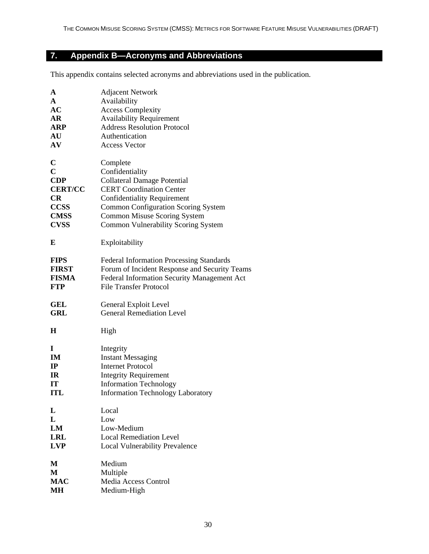# <span id="page-37-0"></span>**7. Appendix B—Acronyms and Abbreviations**

This appendix contains selected acronyms and abbreviations used in the publication.

| A                | <b>Adjacent Network</b>                         |
|------------------|-------------------------------------------------|
| $\mathbf{A}$     | Availability                                    |
| AC               | <b>Access Complexity</b>                        |
| <b>AR</b>        | <b>Availability Requirement</b>                 |
| ARP              | <b>Address Resolution Protocol</b>              |
| AU               | Authentication                                  |
| ${\bf A}{\bf V}$ | <b>Access Vector</b>                            |
| $\mathbf C$      | Complete                                        |
| $\overline{C}$   | Confidentiality                                 |
| <b>CDP</b>       | <b>Collateral Damage Potential</b>              |
| <b>CERT/CC</b>   | <b>CERT</b> Coordination Center                 |
| CR               | <b>Confidentiality Requirement</b>              |
| <b>CCSS</b>      | <b>Common Configuration Scoring System</b>      |
| <b>CMSS</b>      | Common Misuse Scoring System                    |
| <b>CVSS</b>      | Common Vulnerability Scoring System             |
| E                | Exploitability                                  |
| <b>FIPS</b>      | <b>Federal Information Processing Standards</b> |
| <b>FIRST</b>     | Forum of Incident Response and Security Teams   |
| <b>FISMA</b>     | Federal Information Security Management Act     |
| <b>FTP</b>       | <b>File Transfer Protocol</b>                   |
| GEL              | General Exploit Level                           |
| <b>GRL</b>       | <b>General Remediation Level</b>                |
| H                | High                                            |
| 1                | Integrity                                       |
| IM               | <b>Instant Messaging</b>                        |
| $_{\rm IP}$      | <b>Internet Protocol</b>                        |
| IR               | <b>Integrity Requirement</b>                    |
| IT               | <b>Information Technology</b>                   |
| <b>ITL</b>       | <b>Information Technology Laboratory</b>        |
| L                | Local                                           |
| L                | Low                                             |
| LM               | Low-Medium                                      |
| <b>LRL</b>       | <b>Local Remediation Level</b>                  |
| <b>LVP</b>       | <b>Local Vulnerability Prevalence</b>           |
| M                | Medium                                          |
| M                | Multiple                                        |
| <b>MAC</b>       | Media Access Control                            |
| MН               | Medium-High                                     |